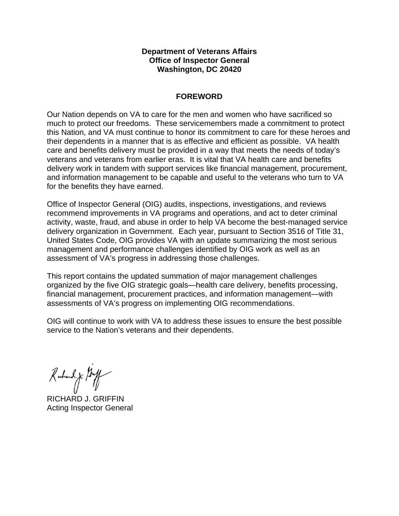#### **Department of Veterans Affairs Office of Inspector General Washington, DC 20420**

#### **FOREWORD**

Our Nation depends on VA to care for the men and women who have sacrificed so much to protect our freedoms. These servicemembers made a commitment to protect this Nation, and VA must continue to honor its commitment to care for these heroes and their dependents in a manner that is as effective and efficient as possible. VA health care and benefits delivery must be provided in a way that meets the needs of today's veterans and veterans from earlier eras. It is vital that VA health care and benefits delivery work in tandem with support services like financial management, procurement, and information management to be capable and useful to the veterans who turn to VA for the benefits they have earned.

Office of Inspector General (OIG) audits, inspections, investigations, and reviews recommend improvements in VA programs and operations, and act to deter criminal activity, waste, fraud, and abuse in order to help VA become the best-managed service delivery organization in Government. Each year, pursuant to Section 3516 of Title 31, United States Code, OIG provides VA with an update summarizing the most serious management and performance challenges identified by OIG work as well as an assessment of VA's progress in addressing those challenges.

This report contains the updated summation of major management challenges organized by the five OIG strategic goals—health care delivery, benefits processing, financial management, procurement practices, and information management—with assessments of VA's progress on implementing OIG recommendations.

OIG will continue to work with VA to address these issues to ensure the best possible service to the Nation's veterans and their dependents.

Rubert J. My

RICHARD J. GRIFFIN Acting Inspector General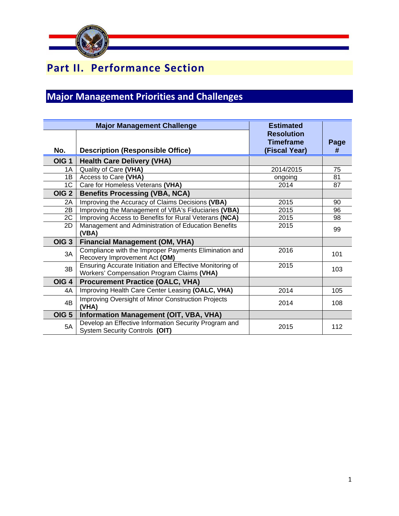

# **Part II. Performance Section**

# **Major Management Priorities and Challenges**

| <b>Major Management Challenge</b> |                                                                                                        | <b>Estimated</b>                  |           |
|-----------------------------------|--------------------------------------------------------------------------------------------------------|-----------------------------------|-----------|
|                                   |                                                                                                        | <b>Resolution</b>                 |           |
| No.                               | <b>Description (Responsible Office)</b>                                                                | <b>Timeframe</b><br>(Fiscal Year) | Page<br># |
| OIG <sub>1</sub>                  | <b>Health Care Delivery (VHA)</b>                                                                      |                                   |           |
| 1A                                | Quality of Care (VHA)                                                                                  | 2014/2015                         | 75        |
| 1B                                | Access to Care (VHA)                                                                                   | ongoing                           | 81        |
| 1C                                | Care for Homeless Veterans (VHA)                                                                       | 2014                              | 87        |
| OIG <sub>2</sub>                  | <b>Benefits Processing (VBA, NCA)</b>                                                                  |                                   |           |
| 2A                                | Improving the Accuracy of Claims Decisions (VBA)                                                       | 2015                              | 90        |
| 2B                                | Improving the Management of VBA's Fiduciaries (VBA)                                                    | 2015                              | 96        |
| 2C                                | Improving Access to Benefits for Rural Veterans (NCA)                                                  | 2015                              | 98        |
| 2D                                | Management and Administration of Education Benefits<br>(VBA)                                           | 2015                              | 99        |
| OIG <sub>3</sub>                  | <b>Financial Management (OM, VHA)</b>                                                                  |                                   |           |
| 3A                                | Compliance with the Improper Payments Elimination and<br>Recovery Improvement Act (OM)                 | 2016                              | 101       |
| 3B                                | Ensuring Accurate Initiation and Effective Monitoring of<br>Workers' Compensation Program Claims (VHA) | 2015                              | 103       |
| OIG <sub>4</sub>                  | <b>Procurement Practice (OALC, VHA)</b>                                                                |                                   |           |
| 4A                                | Improving Health Care Center Leasing (OALC, VHA)                                                       | 2014                              | 105       |
| 4B                                | Improving Oversight of Minor Construction Projects<br>(VHA)                                            | 2014                              | 108       |
| OIG <sub>5</sub>                  | <b>Information Management (OIT, VBA, VHA)</b>                                                          |                                   |           |
| 5A                                | Develop an Effective Information Security Program and<br>System Security Controls (OIT)                | 2015                              | 112       |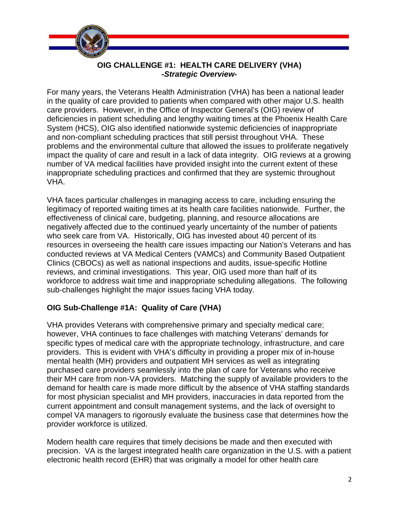

## **OIG CHALLENGE #1: HEALTH CARE DELIVERY (VHA)**  *-Strategic Overview-*

For many years, the Veterans Health Administration (VHA) has been a national leader in the quality of care provided to patients when compared with other major U.S. health care providers. However, in the Office of Inspector General's (OIG) review of deficiencies in patient scheduling and lengthy waiting times at the Phoenix Health Care System (HCS), OIG also identified nationwide systemic deficiencies of inappropriate and non-compliant scheduling practices that still persist throughout VHA. These problems and the environmental culture that allowed the issues to proliferate negatively impact the quality of care and result in a lack of data integrity. OIG reviews at a growing number of VA medical facilities have provided insight into the current extent of these inappropriate scheduling practices and confirmed that they are systemic throughout VHA.

VHA faces particular challenges in managing access to care, including ensuring the legitimacy of reported waiting times at its health care facilities nationwide. Further, the effectiveness of clinical care, budgeting, planning, and resource allocations are negatively affected due to the continued yearly uncertainty of the number of patients who seek care from VA. Historically, OIG has invested about 40 percent of its resources in overseeing the health care issues impacting our Nation's Veterans and has conducted reviews at VA Medical Centers (VAMCs) and Community Based Outpatient Clinics (CBOCs) as well as national inspections and audits, issue-specific Hotline reviews, and criminal investigations. This year, OIG used more than half of its workforce to address wait time and inappropriate scheduling allegations. The following sub-challenges highlight the major issues facing VHA today.

## **OIG Sub-Challenge #1A: Quality of Care (VHA)**

VHA provides Veterans with comprehensive primary and specialty medical care; however, VHA continues to face challenges with matching Veterans' demands for specific types of medical care with the appropriate technology, infrastructure, and care providers. This is evident with VHA's difficulty in providing a proper mix of in-house mental health (MH) providers and outpatient MH services as well as integrating purchased care providers seamlessly into the plan of care for Veterans who receive their MH care from non-VA providers. Matching the supply of available providers to the demand for health care is made more difficult by the absence of VHA staffing standards for most physician specialist and MH providers, inaccuracies in data reported from the current appointment and consult management systems, and the lack of oversight to compel VA managers to rigorously evaluate the business case that determines how the provider workforce is utilized.

Modern health care requires that timely decisions be made and then executed with precision. VA is the largest integrated health care organization in the U.S. with a patient electronic health record (EHR) that was originally a model for other health care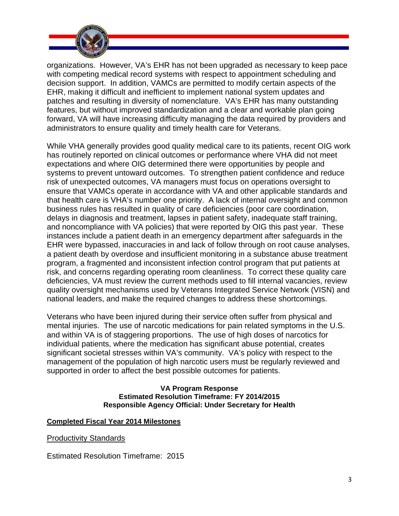

organizations. However, VA's EHR has not been upgraded as necessary to keep pace with competing medical record systems with respect to appointment scheduling and decision support. In addition, VAMCs are permitted to modify certain aspects of the EHR, making it difficult and inefficient to implement national system updates and patches and resulting in diversity of nomenclature. VA's EHR has many outstanding features, but without improved standardization and a clear and workable plan going forward, VA will have increasing difficulty managing the data required by providers and administrators to ensure quality and timely health care for Veterans.

While VHA generally provides good quality medical care to its patients, recent OIG work has routinely reported on clinical outcomes or performance where VHA did not meet expectations and where OIG determined there were opportunities by people and systems to prevent untoward outcomes. To strengthen patient confidence and reduce risk of unexpected outcomes, VA managers must focus on operations oversight to ensure that VAMCs operate in accordance with VA and other applicable standards and that health care is VHA's number one priority. A lack of internal oversight and common business rules has resulted in quality of care deficiencies (poor care coordination, delays in diagnosis and treatment, lapses in patient safety, inadequate staff training, and noncompliance with VA policies) that were reported by OIG this past year. These instances include a patient death in an emergency department after safeguards in the EHR were bypassed, inaccuracies in and lack of follow through on root cause analyses, a patient death by overdose and insufficient monitoring in a substance abuse treatment program, a fragmented and inconsistent infection control program that put patients at risk, and concerns regarding operating room cleanliness. To correct these quality care deficiencies, VA must review the current methods used to fill internal vacancies, review quality oversight mechanisms used by Veterans Integrated Service Network (VISN) and national leaders, and make the required changes to address these shortcomings.

Veterans who have been injured during their service often suffer from physical and mental injuries. The use of narcotic medications for pain related symptoms in the U.S. and within VA is of staggering proportions. The use of high doses of narcotics for individual patients, where the medication has significant abuse potential, creates significant societal stresses within VA's community. VA's policy with respect to the management of the population of high narcotic users must be regularly reviewed and supported in order to affect the best possible outcomes for patients.

#### **VA Program Response Estimated Resolution Timeframe: FY 2014/2015 Responsible Agency Official: Under Secretary for Health**

#### **Completed Fiscal Year 2014 Milestones**

Productivity Standards

Estimated Resolution Timeframe: 2015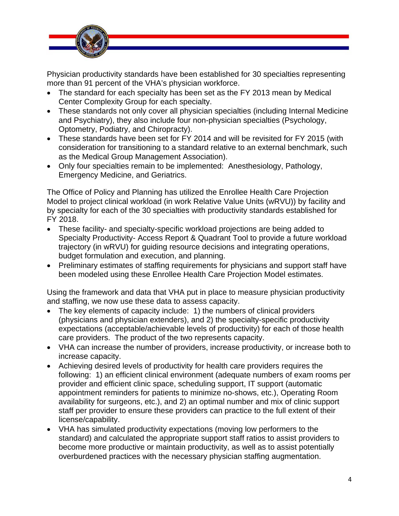

Physician productivity standards have been established for 30 specialties representing more than 91 percent of the VHA's physician workforce.

- The standard for each specialty has been set as the FY 2013 mean by Medical Center Complexity Group for each specialty.
- These standards not only cover all physician specialties (including Internal Medicine and Psychiatry), they also include four non-physician specialties (Psychology, Optometry, Podiatry, and Chiropracty).
- These standards have been set for FY 2014 and will be revisited for FY 2015 (with consideration for transitioning to a standard relative to an external benchmark, such as the Medical Group Management Association).
- Only four specialties remain to be implemented: Anesthesiology, Pathology, Emergency Medicine, and Geriatrics.

The Office of Policy and Planning has utilized the Enrollee Health Care Projection Model to project clinical workload (in work Relative Value Units (wRVU)) by facility and by specialty for each of the 30 specialties with productivity standards established for FY 2018.

- These facility- and specialty-specific workload projections are being added to Specialty Productivity- Access Report & Quadrant Tool to provide a future workload trajectory (in wRVU) for guiding resource decisions and integrating operations, budget formulation and execution, and planning.
- Preliminary estimates of staffing requirements for physicians and support staff have been modeled using these Enrollee Health Care Projection Model estimates.

Using the framework and data that VHA put in place to measure physician productivity and staffing, we now use these data to assess capacity.

- The key elements of capacity include: 1) the numbers of clinical providers (physicians and physician extenders), and 2) the specialty-specific productivity expectations (acceptable/achievable levels of productivity) for each of those health care providers. The product of the two represents capacity.
- VHA can increase the number of providers, increase productivity, or increase both to increase capacity.
- Achieving desired levels of productivity for health care providers requires the following: 1) an efficient clinical environment (adequate numbers of exam rooms per provider and efficient clinic space, scheduling support, IT support (automatic appointment reminders for patients to minimize no-shows, etc.), Operating Room availability for surgeons, etc.), and 2) an optimal number and mix of clinic support staff per provider to ensure these providers can practice to the full extent of their license/capability.
- VHA has simulated productivity expectations (moving low performers to the standard) and calculated the appropriate support staff ratios to assist providers to become more productive or maintain productivity, as well as to assist potentially overburdened practices with the necessary physician staffing augmentation.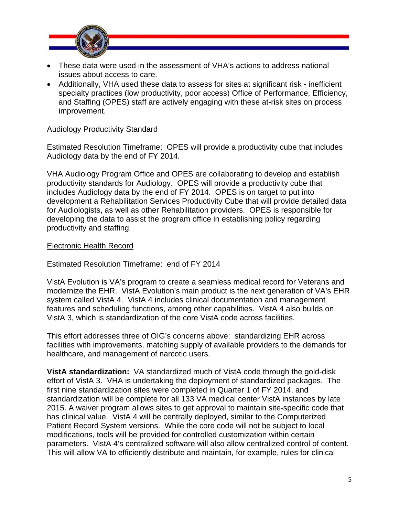

- These data were used in the assessment of VHA's actions to address national issues about access to care.
- Additionally, VHA used these data to assess for sites at significant risk inefficient specialty practices (low productivity, poor access) Office of Performance, Efficiency, and Staffing (OPES) staff are actively engaging with these at-risk sites on process improvement.

#### Audiology Productivity Standard

Estimated Resolution Timeframe: OPES will provide a productivity cube that includes Audiology data by the end of FY 2014.

VHA Audiology Program Office and OPES are collaborating to develop and establish productivity standards for Audiology. OPES will provide a productivity cube that includes Audiology data by the end of FY 2014. OPES is on target to put into development a Rehabilitation Services Productivity Cube that will provide detailed data for Audiologists, as well as other Rehabilitation providers. OPES is responsible for developing the data to assist the program office in establishing policy regarding productivity and staffing.

#### Electronic Health Record

Estimated Resolution Timeframe: end of FY 2014

VistA Evolution is VA's program to create a seamless medical record for Veterans and modernize the EHR. VistA Evolution's main product is the next generation of VA's EHR system called VistA 4. VistA 4 includes clinical documentation and management features and scheduling functions, among other capabilities. VistA 4 also builds on VistA 3, which is standardization of the core VistA code across facilities.

This effort addresses three of OIG's concerns above: standardizing EHR across facilities with improvements, matching supply of available providers to the demands for healthcare, and management of narcotic users.

**VistA standardization:** VA standardized much of VistA code through the gold-disk effort of VistA 3. VHA is undertaking the deployment of standardized packages. The first nine standardization sites were completed in Quarter 1 of FY 2014, and standardization will be complete for all 133 VA medical center VistA instances by late 2015. A waiver program allows sites to get approval to maintain site-specific code that has clinical value. VistA 4 will be centrally deployed, similar to the Computerized Patient Record System versions. While the core code will not be subject to local modifications, tools will be provided for controlled customization within certain parameters. VistA 4's centralized software will also allow centralized control of content. This will allow VA to efficiently distribute and maintain, for example, rules for clinical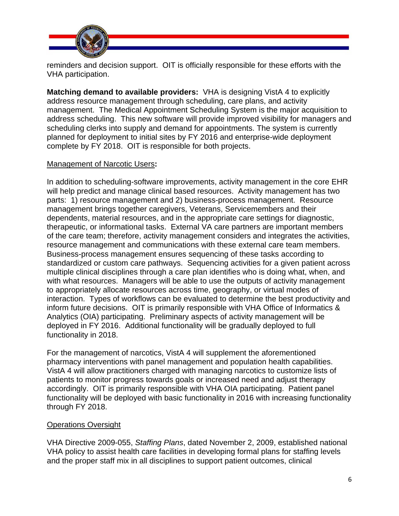

reminders and decision support. OIT is officially responsible for these efforts with the VHA participation.

**Matching demand to available providers:** VHA is designing VistA 4 to explicitly address resource management through scheduling, care plans, and activity management. The Medical Appointment Scheduling System is the major acquisition to address scheduling. This new software will provide improved visibility for managers and scheduling clerks into supply and demand for appointments. The system is currently planned for deployment to initial sites by FY 2016 and enterprise-wide deployment complete by FY 2018. OIT is responsible for both projects.

## Management of Narcotic Users**:**

In addition to scheduling-software improvements, activity management in the core EHR will help predict and manage clinical based resources. Activity management has two parts: 1) resource management and 2) business-process management. Resource management brings together caregivers, Veterans, Servicemembers and their dependents, material resources, and in the appropriate care settings for diagnostic, therapeutic, or informational tasks. External VA care partners are important members of the care team; therefore, activity management considers and integrates the activities, resource management and communications with these external care team members. Business-process management ensures sequencing of these tasks according to standardized or custom care pathways. Sequencing activities for a given patient across multiple clinical disciplines through a care plan identifies who is doing what, when, and with what resources. Managers will be able to use the outputs of activity management to appropriately allocate resources across time, geography, or virtual modes of interaction. Types of workflows can be evaluated to determine the best productivity and inform future decisions. OIT is primarily responsible with VHA Office of Informatics & Analytics (OIA) participating. Preliminary aspects of activity management will be deployed in FY 2016. Additional functionality will be gradually deployed to full functionality in 2018.

For the management of narcotics, VistA 4 will supplement the aforementioned pharmacy interventions with panel management and population health capabilities. VistA 4 will allow practitioners charged with managing narcotics to customize lists of patients to monitor progress towards goals or increased need and adjust therapy accordingly. OIT is primarily responsible with VHA OIA participating. Patient panel functionality will be deployed with basic functionality in 2016 with increasing functionality through FY 2018.

#### Operations Oversight

VHA Directive 2009-055, *Staffing Plans*, dated November 2, 2009, established national VHA policy to assist health care facilities in developing formal plans for staffing levels and the proper staff mix in all disciplines to support patient outcomes, clinical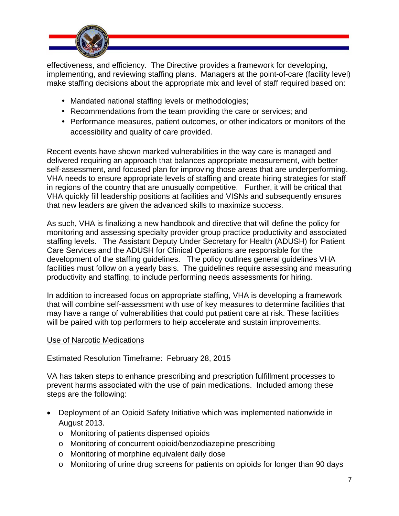

effectiveness, and efficiency. The Directive provides a framework for developing, implementing, and reviewing staffing plans. Managers at the point-of-care (facility level) make staffing decisions about the appropriate mix and level of staff required based on:

- Mandated national staffing levels or methodologies;
- Recommendations from the team providing the care or services; and
- Performance measures, patient outcomes, or other indicators or monitors of the accessibility and quality of care provided.

Recent events have shown marked vulnerabilities in the way care is managed and delivered requiring an approach that balances appropriate measurement, with better self-assessment, and focused plan for improving those areas that are underperforming. VHA needs to ensure appropriate levels of staffing and create hiring strategies for staff in regions of the country that are unusually competitive. Further, it will be critical that VHA quickly fill leadership positions at facilities and VISNs and subsequently ensures that new leaders are given the advanced skills to maximize success.

As such, VHA is finalizing a new handbook and directive that will define the policy for monitoring and assessing specialty provider group practice productivity and associated staffing levels. The Assistant Deputy Under Secretary for Health (ADUSH) for Patient Care Services and the ADUSH for Clinical Operations are responsible for the development of the staffing guidelines. The policy outlines general guidelines VHA facilities must follow on a yearly basis. The guidelines require assessing and measuring productivity and staffing, to include performing needs assessments for hiring.

In addition to increased focus on appropriate staffing, VHA is developing a framework that will combine self-assessment with use of key measures to determine facilities that may have a range of vulnerabilities that could put patient care at risk. These facilities will be paired with top performers to help accelerate and sustain improvements.

#### Use of Narcotic Medications

## Estimated Resolution Timeframe: February 28, 2015

VA has taken steps to enhance prescribing and prescription fulfillment processes to prevent harms associated with the use of pain medications. Included among these steps are the following:

- Deployment of an Opioid Safety Initiative which was implemented nationwide in August 2013.
	- o Monitoring of patients dispensed opioids
	- o Monitoring of concurrent opioid/benzodiazepine prescribing
	- o Monitoring of morphine equivalent daily dose
	- o Monitoring of urine drug screens for patients on opioids for longer than 90 days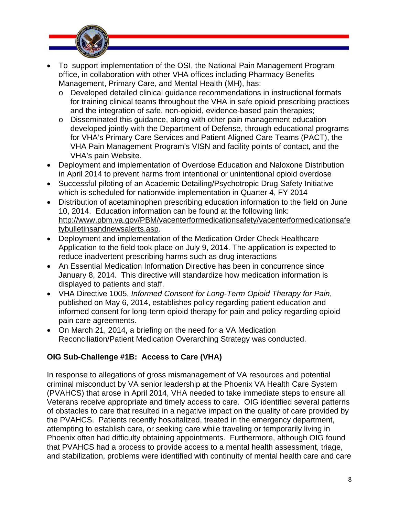

- To support implementation of the OSI, the National Pain Management Program office, in collaboration with other VHA offices including Pharmacy Benefits Management, Primary Care, and Mental Health (MH), has:
	- o Developed detailed clinical guidance recommendations in instructional formats for training clinical teams throughout the VHA in safe opioid prescribing practices and the integration of safe, non-opioid, evidence-based pain therapies;
	- o Disseminated this guidance, along with other pain management education developed jointly with the Department of Defense, through educational programs for VHA's Primary Care Services and Patient Aligned Care Teams (PACT), the VHA Pain Management Program's VISN and facility points of contact, and the VHA's pain Website.
- Deployment and implementation of Overdose Education and Naloxone Distribution in April 2014 to prevent harms from intentional or unintentional opioid overdose
- Successful piloting of an Academic Detailing/Psychotropic Drug Safety Initiative which is scheduled for nationwide implementation in Quarter 4, FY 2014
- Distribution of acetaminophen prescribing education information to the field on June 10, 2014. Education information can be found at the following link: <http://www.pbm.va.gov/PBM/vacenterformedicationsafety/vacenterformedicationsafe> tybulletinsandnewsalerts.asp.
- Deployment and implementation of the Medication Order Check Healthcare Application to the field took place on July 9, 2014. The application is expected to reduce inadvertent prescribing harms such as drug interactions
- An Essential Medication Information Directive has been in concurrence since January 8, 2014. This directive will standardize how medication information is displayed to patients and staff.
- VHA Directive 1005, *Informed Consent for Long-Term Opioid Therapy for Pain*, published on May 6, 2014, establishes policy regarding patient education and informed consent for long-term opioid therapy for pain and policy regarding opioid pain care agreements.
- On March 21, 2014, a briefing on the need for a VA Medication Reconciliation/Patient Medication Overarching Strategy was conducted.

## **OIG Sub-Challenge #1B: Access to Care (VHA)**

In response to allegations of gross mismanagement of VA resources and potential criminal misconduct by VA senior leadership at the Phoenix VA Health Care System (PVAHCS) that arose in April 2014, VHA needed to take immediate steps to ensure all Veterans receive appropriate and timely access to care. OIG identified several patterns of obstacles to care that resulted in a negative impact on the quality of care provided by the PVAHCS. Patients recently hospitalized, treated in the emergency department, attempting to establish care, or seeking care while traveling or temporarily living in Phoenix often had difficulty obtaining appointments. Furthermore, although OIG found that PVAHCS had a process to provide access to a mental health assessment, triage, and stabilization, problems were identified with continuity of mental health care and care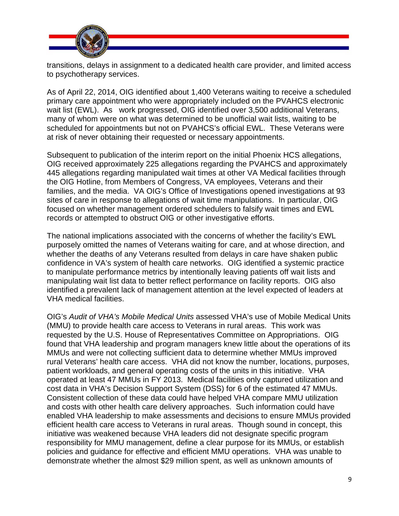

transitions, delays in assignment to a dedicated health care provider, and limited access to psychotherapy services.

As of April 22, 2014, OIG identified about 1,400 Veterans waiting to receive a scheduled primary care appointment who were appropriately included on the PVAHCS electronic wait list (EWL). As work progressed, OIG identified over 3,500 additional Veterans, many of whom were on what was determined to be unofficial wait lists, waiting to be scheduled for appointments but not on PVAHCS's official EWL. These Veterans were at risk of never obtaining their requested or necessary appointments.

Subsequent to publication of the interim report on the initial Phoenix HCS allegations, OIG received approximately 225 allegations regarding the PVAHCS and approximately 445 allegations regarding manipulated wait times at other VA Medical facilities through the OIG Hotline, from Members of Congress, VA employees, Veterans and their families, and the media. VA OIG's Office of Investigations opened investigations at 93 sites of care in response to allegations of wait time manipulations. In particular, OIG focused on whether management ordered schedulers to falsify wait times and EWL records or attempted to obstruct OIG or other investigative efforts.

The national implications associated with the concerns of whether the facility's EWL purposely omitted the names of Veterans waiting for care, and at whose direction, and whether the deaths of any Veterans resulted from delays in care have shaken public confidence in VA's system of health care networks. OIG identified a systemic practice to manipulate performance metrics by intentionally leaving patients off wait lists and manipulating wait list data to better reflect performance on facility reports. OIG also identified a prevalent lack of management attention at the level expected of leaders at VHA medical facilities.

OIG's *Audit of VHA's Mobile Medical Units* assessed VHA's use of Mobile Medical Units (MMU) to provide health care access to Veterans in rural areas. This work was requested by the U.S. House of Representatives Committee on Appropriations. OIG found that VHA leadership and program managers knew little about the operations of its MMUs and were not collecting sufficient data to determine whether MMUs improved rural Veterans' health care access. VHA did not know the number, locations, purposes, patient workloads, and general operating costs of the units in this initiative. VHA operated at least 47 MMUs in FY 2013. Medical facilities only captured utilization and cost data in VHA's Decision Support System (DSS) for 6 of the estimated 47 MMUs. Consistent collection of these data could have helped VHA compare MMU utilization and costs with other health care delivery approaches. Such information could have enabled VHA leadership to make assessments and decisions to ensure MMUs provided efficient health care access to Veterans in rural areas. Though sound in concept, this initiative was weakened because VHA leaders did not designate specific program responsibility for MMU management, define a clear purpose for its MMUs, or establish policies and guidance for effective and efficient MMU operations. VHA was unable to demonstrate whether the almost \$29 million spent, as well as unknown amounts of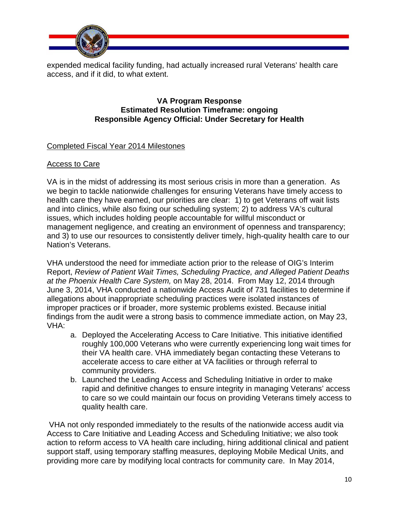

expended medical facility funding, had actually increased rural Veterans' health care access, and if it did, to what extent.

#### **VA Program Response Estimated Resolution Timeframe: ongoing Responsible Agency Official: Under Secretary for Health**

## Completed Fiscal Year 2014 Milestones

## Access to Care

VA is in the midst of addressing its most serious crisis in more than a generation. As we begin to tackle nationwide challenges for ensuring Veterans have timely access to health care they have earned, our priorities are clear: 1) to get Veterans off wait lists and into clinics, while also fixing our scheduling system; 2) to address VA's cultural issues, which includes holding people accountable for willful misconduct or management negligence, and creating an environment of openness and transparency; and 3) to use our resources to consistently deliver timely, high-quality health care to our Nation's Veterans.

VHA understood the need for immediate action prior to the release of OIG's Interim Report, *Review of Patient Wait Times, Scheduling Practice, and Alleged Patient Deaths at the Phoenix Health Care System,* on May 28, 2014. From May 12, 2014 through June 3, 2014, VHA conducted a nationwide Access Audit of 731 facilities to determine if allegations about inappropriate scheduling practices were isolated instances of improper practices or if broader, more systemic problems existed. Because initial findings from the audit were a strong basis to commence immediate action, on May 23, VHA:

- a. Deployed the Accelerating Access to Care Initiative. This initiative identified roughly 100,000 Veterans who were currently experiencing long wait times for their VA health care. VHA immediately began contacting these Veterans to accelerate access to care either at VA facilities or through referral to community providers.
- b. Launched the Leading Access and Scheduling Initiative in order to make rapid and definitive changes to ensure integrity in managing Veterans' access to care so we could maintain our focus on providing Veterans timely access to quality health care.

 VHA not only responded immediately to the results of the nationwide access audit via Access to Care Initiative and Leading Access and Scheduling Initiative; we also took action to reform access to VA health care including, hiring additional clinical and patient support staff, using temporary staffing measures, deploying Mobile Medical Units, and providing more care by modifying local contracts for community care. In May 2014,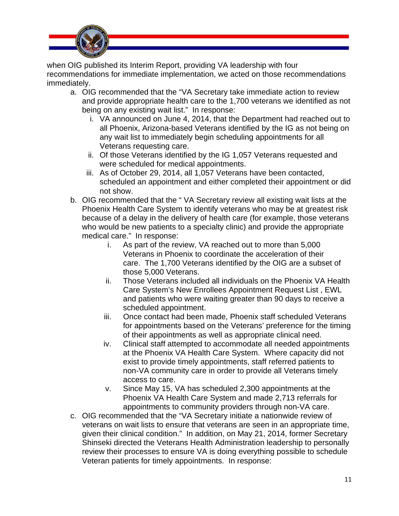

when OIG published its Interim Report, providing VA leadership with four recommendations for immediate implementation, we acted on those recommendations immediately.

- a. OIG recommended that the "VA Secretary take immediate action to review and provide appropriate health care to the 1,700 veterans we identified as not being on any existing wait list." In response:
	- i. VA announced on June 4, 2014, that the Department had reached out to all Phoenix, Arizona-based Veterans identified by the IG as not being on any wait list to immediately begin scheduling appointments for all Veterans requesting care.
	- ii. Of those Veterans identified by the IG 1,057 Veterans requested and were scheduled for medical appointments.
	- iii. As of October 29, 2014, all 1,057 Veterans have been contacted, scheduled an appointment and either completed their appointment or did not show.
- b. OIG recommended that the " VA Secretary review all existing wait lists at the Phoenix Health Care System to identify veterans who may be at greatest risk because of a delay in the delivery of health care (for example, those veterans who would be new patients to a specialty clinic) and provide the appropriate medical care." In response:
	- i. As part of the review, VA reached out to more than 5,000 Veterans in Phoenix to coordinate the acceleration of their care. The 1,700 Veterans identified by the OIG are a subset of those 5,000 Veterans.
	- ii. Those Veterans included all individuals on the Phoenix VA Health Care System's New Enrollees Appointment Request List , EWL and patients who were waiting greater than 90 days to receive a scheduled appointment.
	- iii. Once contact had been made, Phoenix staff scheduled Veterans for appointments based on the Veterans' preference for the timing of their appointments as well as appropriate clinical need.
	- iv. Clinical staff attempted to accommodate all needed appointments at the Phoenix VA Health Care System. Where capacity did not exist to provide timely appointments, staff referred patients to non-VA community care in order to provide all Veterans timely access to care.
	- v. Since May 15, VA has scheduled 2,300 appointments at the Phoenix VA Health Care System and made 2,713 referrals for appointments to community providers through non-VA care.
- c. OIG recommended that the "VA Secretary initiate a nationwide review of veterans on wait lists to ensure that veterans are seen in an appropriate time, given their clinical condition." In addition, on May 21, 2014, former Secretary Shinseki directed the Veterans Health Administration leadership to personally review their processes to ensure VA is doing everything possible to schedule Veteran patients for timely appointments. In response: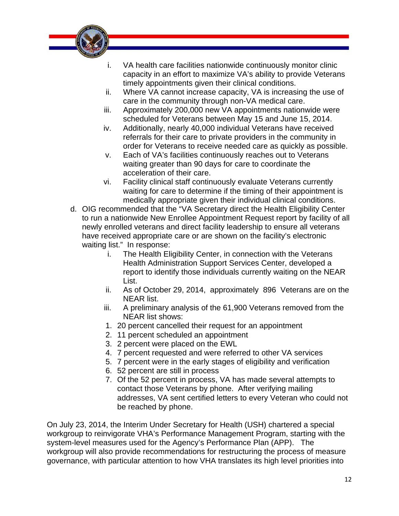

- i. VA health care facilities nationwide continuously monitor clinic capacity in an effort to maximize VA's ability to provide Veterans timely appointments given their clinical conditions.
- ii. Where VA cannot increase capacity, VA is increasing the use of care in the community through non-VA medical care.
- iii. Approximately 200,000 new VA appointments nationwide were scheduled for Veterans between May 15 and June 15, 2014.
- iv. Additionally, nearly 40,000 individual Veterans have received referrals for their care to private providers in the community in order for Veterans to receive needed care as quickly as possible.
- v. Each of VA's facilities continuously reaches out to Veterans waiting greater than 90 days for care to coordinate the acceleration of their care.
- vi. Facility clinical staff continuously evaluate Veterans currently waiting for care to determine if the timing of their appointment is medically appropriate given their individual clinical conditions.
- d. OIG recommended that the "VA Secretary direct the Health Eligibility Center to run a nationwide New Enrollee Appointment Request report by facility of all newly enrolled veterans and direct facility leadership to ensure all veterans have received appropriate care or are shown on the facility's electronic waiting list." In response:
	- i. The Health Eligibility Center, in connection with the Veterans Health Administration Support Services Center, developed a report to identify those individuals currently waiting on the NEAR List.
	- ii. As of October 29, 2014, approximately 896 Veterans are on the NEAR list.
	- iii. A preliminary analysis of the 61,900 Veterans removed from the NEAR list shows:
	- 1. 20 percent cancelled their request for an appointment
	- 2. 11 percent scheduled an appointment
	- 3. 2 percent were placed on the EWL
	- 4. 7 percent requested and were referred to other VA services
	- 5. 7 percent were in the early stages of eligibility and verification
	- 6. 52 percent are still in process
	- 7. Of the 52 percent in process, VA has made several attempts to contact those Veterans by phone. After verifying mailing addresses, VA sent certified letters to every Veteran who could not be reached by phone.

On July 23, 2014, the Interim Under Secretary for Health (USH) chartered a special workgroup to reinvigorate VHA's Performance Management Program, starting with the system-level measures used for the Agency's Performance Plan (APP). The workgroup will also provide recommendations for restructuring the process of measure governance, with particular attention to how VHA translates its high level priorities into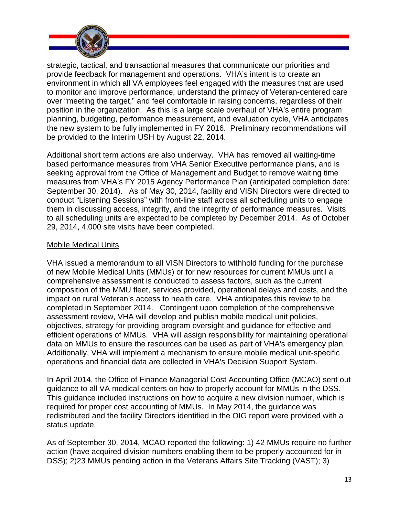

strategic, tactical, and transactional measures that communicate our priorities and provide feedback for management and operations. VHA's intent is to create an environment in which all VA employees feel engaged with the measures that are used to monitor and improve performance, understand the primacy of Veteran-centered care over "meeting the target," and feel comfortable in raising concerns, regardless of their position in the organization. As this is a large scale overhaul of VHA's entire program planning, budgeting, performance measurement, and evaluation cycle, VHA anticipates the new system to be fully implemented in FY 2016. Preliminary recommendations will be provided to the Interim USH by August 22, 2014.

Additional short term actions are also underway. VHA has removed all waiting-time based performance measures from VHA Senior Executive performance plans, and is seeking approval from the Office of Management and Budget to remove waiting time measures from VHA's FY 2015 Agency Performance Plan (anticipated completion date: September 30, 2014). As of May 30, 2014, facility and VISN Directors were directed to conduct "Listening Sessions" with front-line staff across all scheduling units to engage them in discussing access, integrity, and the integrity of performance measures. Visits to all scheduling units are expected to be completed by December 2014. As of October 29, 2014, 4,000 site visits have been completed.

## Mobile Medical Units

data on MMUs to ensure the resources can be used as part of VHA's emergency plan.<br>Additionally, VHA will implement a mechanism to ensure mobile medical unit-specific VHA issued a memorandum to all VISN Directors to withhold funding for the purchase of new Mobile Medical Units (MMUs) or for new resources for current MMUs until a comprehensive assessment is conducted to assess factors, such as the current composition of the MMU fleet, services provided, operational delays and costs, and the impact on rural Veteran's access to health care. VHA anticipates this review to be completed in September 2014. Contingent upon completion of the comprehensive assessment review, VHA will develop and publish mobile medical unit policies, objectives, strategy for providing program oversight and guidance for effective and efficient operations of MMUs. VHA will assign responsibility for maintaining operational operations and financial data are collected in VHA's Decision Support System.

In April 2014, the Office of Finance Managerial Cost Accounting Office (MCAO) sent out guidance to all VA medical centers on how to properly account for MMUs in the DSS. This guidance included instructions on how to acquire a new division number, which is required for proper cost accounting of MMUs. In May 2014, the guidance was redistributed and the facility Directors identified in the OIG report were provided with a status update.

As of September 30, 2014, MCAO reported the following: 1) 42 MMUs require no further action (have acquired division numbers enabling them to be properly accounted for in DSS); 2)23 MMUs pending action in the Veterans Affairs Site Tracking (VAST); 3)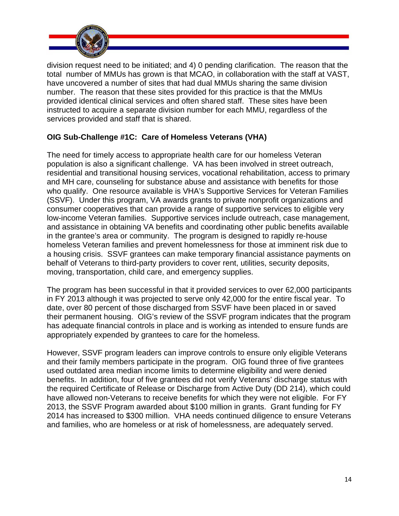

division request need to be initiated; and 4) 0 pending clarification. The reason that the total number of MMUs has grown is that MCAO, in collaboration with the staff at VAST, have uncovered a number of sites that had dual MMUs sharing the same division number. The reason that these sites provided for this practice is that the MMUs provided identical clinical services and often shared staff. These sites have been instructed to acquire a separate division number for each MMU, regardless of the services provided and staff that is shared.

## **OIG Sub-Challenge #1C: Care of Homeless Veterans (VHA)**

The need for timely access to appropriate health care for our homeless Veteran population is also a significant challenge. VA has been involved in street outreach, residential and transitional housing services, vocational rehabilitation, access to primary and MH care, counseling for substance abuse and assistance with benefits for those who qualify. One resource available is VHA's Supportive Services for Veteran Families (SSVF). Under this program, VA awards grants to private nonprofit organizations and consumer cooperatives that can provide a range of supportive services to eligible very low-income Veteran families. Supportive services include outreach, case management, and assistance in obtaining VA benefits and coordinating other public benefits available in the grantee's area or community. The program is designed to rapidly re-house homeless Veteran families and prevent homelessness for those at imminent risk due to a housing crisis. SSVF grantees can make temporary financial assistance payments on behalf of Veterans to third-party providers to cover rent, utilities, security deposits, moving, transportation, child care, and emergency supplies.

The program has been successful in that it provided services to over 62,000 participants in FY 2013 although it was projected to serve only 42,000 for the entire fiscal year. To date, over 80 percent of those discharged from SSVF have been placed in or saved their permanent housing. OIG's review of the SSVF program indicates that the program has adequate financial controls in place and is working as intended to ensure funds are appropriately expended by grantees to care for the homeless.

However, SSVF program leaders can improve controls to ensure only eligible Veterans and their family members participate in the program. OIG found three of five grantees used outdated area median income limits to determine eligibility and were denied benefits. In addition, four of five grantees did not verify Veterans' discharge status with the required Certificate of Release or Discharge from Active Duty (DD 214), which could have allowed non-Veterans to receive benefits for which they were not eligible. For FY 2013, the SSVF Program awarded about \$100 million in grants. Grant funding for FY 2014 has increased to \$300 million. VHA needs continued diligence to ensure Veterans and families, who are homeless or at risk of homelessness, are adequately served.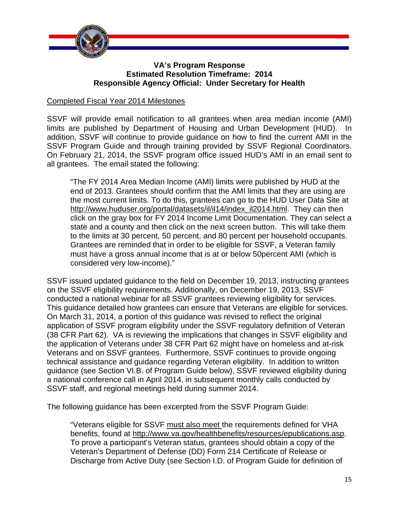

#### **VA's Program Response Estimated Resolution Timeframe: 2014 Responsible Agency Official: Under Secretary for Health**

#### Completed Fiscal Year 2014 Milestones

SSVF Program Guide and through training provided by SSVF Regional Coordinators. SSVF will provide email notification to all grantees when area median income (AMI) limits are published by Department of Housing and Urban Development (HUD). In addition, SSVF will continue to provide guidance on how to find the current AMI in the On February 21, 2014, the SSVF program office issued HUD's AMI in an email sent to all grantees. The email stated the following:

"The FY 2014 Area Median Income (AMI) limits were published by HUD at the end of 2013. Grantees should confirm that the AMI limits that they are using are the most current limits. To do this, grantees can go to the HUD User Data Site at [http://www.huduser.org/portal/datasets/il/il14/index\\_il2014.html. T](http://www.huduser.org/portal/datasets/il/il14/index_il2014.html)hey can then click on the gray box for FY 2014 Income Limit Documentation. They can select a state and a county and then click on the next screen button. This will take them to the limits at 30 percent, 50 percent, and 80 percent per household occupants. Grantees are reminded that in order to be eligible for SSVF, a Veteran family must have a gross annual income that is at or below 50percent AMI (which is considered very low-income)."

SSVF issued updated guidance to the field on December 19, 2013, instructing grantees on the SSVF eligibility requirements. Additionally, on December 19, 2013, SSVF conducted a national webinar for all SSVF grantees reviewing eligibility for services. This guidance detailed how grantees can ensure that Veterans are eligible for services. On March 31, 2014, a portion of this guidance was revised to reflect the original application of SSVF program eligibility under the SSVF regulatory definition of Veteran (38 CFR Part 62). VA is reviewing the implications that changes in SSVF eligibility and the application of Veterans under 38 CFR Part 62 might have on homeless and at-risk Veterans and on SSVF grantees. Furthermore, SSVF continues to provide ongoing technical assistance and guidance regarding Veteran eligibility. In addition to written guidance (see Section VI.B. of Program Guide below), SSVF reviewed eligibility during a national conference call in April 2014, in subsequent monthly calls conducted by SSVF staff, and regional meetings held during summer 2014.

The following guidance has been excerpted from the SSVF Program Guide:

"Veterans eligible for SSVF must also meet the requirements defined for VHA benefits, found at [http://www.va.gov/healthbenefits/resources/epublications.asp.](http://www.va.gov/healthbenefits/resources/epublications.asp)  To prove a participant's Veteran status, grantees should obtain a copy of the Veteran's Department of Defense (DD) Form 214 Certificate of Release or Discharge from Active Duty (see Section I.D. of Program Guide for definition of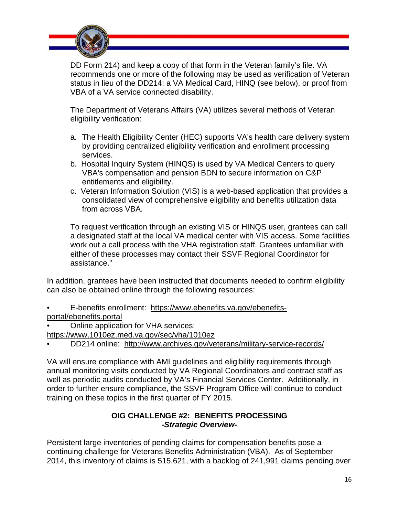

DD Form 214) and keep a copy of that form in the Veteran family's file. VA recommends one or more of the following may be used as verification of Veteran status in lieu of the DD214: a VA Medical Card, HINQ (see below), or proof from VBA of a VA service connected disability.

The Department of Veterans Affairs (VA) utilizes several methods of Veteran eligibility verification:

- a. The Health Eligibility Center (HEC) supports VA's health care delivery system by providing centralized eligibility verification and enrollment processing services.
- b. Hospital Inquiry System (HINQS) is used by VA Medical Centers to query VBA's compensation and pension BDN to secure information on C&P entitlements and eligibility.
- c. Veteran Information Solution (VIS) is a web-based application that provides a consolidated view of comprehensive eligibility and benefits utilization data from across VBA.

To request verification through an existing VIS or HINQS user, grantees can call a designated staff at the local VA medical center with VIS access. Some facilities work out a call process with the VHA registration staff. Grantees unfamiliar with either of these processes may contact their SSVF Regional Coordinator for assistance."

In addition, grantees have been instructed that documents needed to confirm eligibility can also be obtained online through the following resources:

- [E-benefits enrollment: https://www.ebenefits.va.gov/ebenefits](https://www.ebenefits.va.gov/ebenefits-portal/ebenefits.portal)portal[/ebenefits.portal](https://www.ebenefits.va.gov/ebenefits-portal/ebenefits.portal)
- Online application for VHA services:

<https://www.1010ez.med.va.gov/sec/vha/1010ez>

• DD214 online: <http://www.archives.gov/veterans/military-service-records/>

VA will ensure compliance with AMI guidelines and eligibility requirements through annual monitoring visits conducted by VA Regional Coordinators and contract staff as well as periodic audits conducted by VA's Financial Services Center. Additionally, in order to further ensure compliance, the SSVF Program Office will continue to conduct training on these topics in the first quarter of FY 2015.

## **OIG CHALLENGE #2: BENEFITS PROCESSING**  *-Strategic Overview-*

Persistent large inventories of pending claims for compensation benefits pose a continuing challenge for Veterans Benefits Administration (VBA). As of September 2014, this inventory of claims is 515,621, with a backlog of 241,991 claims pending over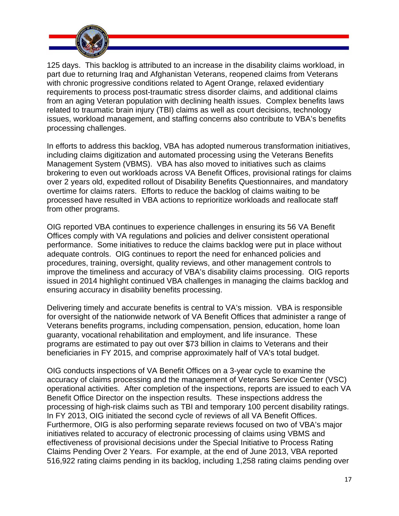

processing challenges. 125 days. This backlog is attributed to an increase in the disability claims workload, in part due to returning Iraq and Afghanistan Veterans, reopened claims from Veterans with chronic progressive conditions related to Agent Orange, relaxed evidentiary requirements to process post-traumatic stress disorder claims, and additional claims from an aging Veteran population with declining health issues. Complex benefits laws related to traumatic brain injury (TBI) claims as well as court decisions, technology issues, workload management, and staffing concerns also contribute to VBA's benefits

In efforts to address this backlog, VBA has adopted numerous transformation initiatives, including claims digitization and automated processing using the Veterans Benefits Management System (VBMS). VBA has also moved to initiatives such as claims brokering to even out workloads across VA Benefit Offices, provisional ratings for claims over 2 years old, expedited rollout of Disability Benefits Questionnaires, and mandatory overtime for claims raters. Efforts to reduce the backlog of claims waiting to be processed have resulted in VBA actions to reprioritize workloads and reallocate staff from other programs.

OIG reported VBA continues to experience challenges in ensuring its 56 VA Benefit Offices comply with VA regulations and policies and deliver consistent operational performance. Some initiatives to reduce the claims backlog were put in place without adequate controls. OIG continues to report the need for enhanced policies and procedures, training, oversight, quality reviews, and other management controls to improve the timeliness and accuracy of VBA's disability claims processing. OIG reports issued in 2014 highlight continued VBA challenges in managing the claims backlog and ensuring accuracy in disability benefits processing.

Delivering timely and accurate benefits is central to VA's mission. VBA is responsible for oversight of the nationwide network of VA Benefit Offices that administer a range of Veterans benefits programs, including compensation, pension, education, home loan guaranty, vocational rehabilitation and employment, and life insurance. These programs are estimated to pay out over \$73 billion in claims to Veterans and their beneficiaries in FY 2015, and comprise approximately half of VA's total budget.

OIG conducts inspections of VA Benefit Offices on a 3-year cycle to examine the accuracy of claims processing and the management of Veterans Service Center (VSC) operational activities. After completion of the inspections, reports are issued to each VA Benefit Office Director on the inspection results. These inspections address the processing of high-risk claims such as TBI and temporary 100 percent disability ratings. In FY 2013, OIG initiated the second cycle of reviews of all VA Benefit Offices. Furthermore, OIG is also performing separate reviews focused on two of VBA's major initiatives related to accuracy of electronic processing of claims using VBMS and effectiveness of provisional decisions under the Special Initiative to Process Rating Claims Pending Over 2 Years. For example, at the end of June 2013, VBA reported 516,922 rating claims pending in its backlog, including 1,258 rating claims pending over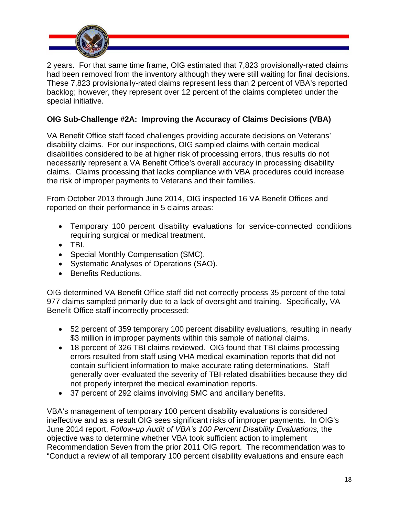

2 years. For that same time frame, OIG estimated that 7,823 provisionally-rated claims had been removed from the inventory although they were still waiting for final decisions. These 7,823 provisionally-rated claims represent less than 2 percent of VBA's reported backlog; however, they represent over 12 percent of the claims completed under the special initiative.

## **OIG Sub-Challenge #2A: Improving the Accuracy of Claims Decisions (VBA)**

VA Benefit Office staff faced challenges providing accurate decisions on Veterans' disability claims. For our inspections, OIG sampled claims with certain medical disabilities considered to be at higher risk of processing errors, thus results do not necessarily represent a VA Benefit Office's overall accuracy in processing disability claims. Claims processing that lacks compliance with VBA procedures could increase the risk of improper payments to Veterans and their families.

From October 2013 through June 2014, OIG inspected 16 VA Benefit Offices and reported on their performance in 5 claims areas:

- Temporary 100 percent disability evaluations for service-connected conditions requiring surgical or medical treatment.
- $\bullet$  TBI.
- Special Monthly Compensation (SMC).
- Systematic Analyses of Operations (SAO).
- Benefits Reductions.

OIG determined VA Benefit Office staff did not correctly process 35 percent of the total 977 claims sampled primarily due to a lack of oversight and training. Specifically, VA Benefit Office staff incorrectly processed:

- 52 percent of 359 temporary 100 percent disability evaluations, resulting in nearly \$3 million in improper payments within this sample of national claims.
- 18 percent of 326 TBI claims reviewed. OIG found that TBI claims processing errors resulted from staff using VHA medical examination reports that did not contain sufficient information to make accurate rating determinations. Staff generally over-evaluated the severity of TBI-related disabilities because they did not properly interpret the medical examination reports.
- 37 percent of 292 claims involving SMC and ancillary benefits.

VBA's management of temporary 100 percent disability evaluations is considered ineffective and as a result OIG sees significant risks of improper payments. In OIG's June 2014 report, *Follow-up Audit of VBA's 100 Percent Disability Evaluations,* the objective was to determine whether VBA took sufficient action to implement Recommendation Seven from the prior 2011 OIG report. The recommendation was to "Conduct a review of all temporary 100 percent disability evaluations and ensure each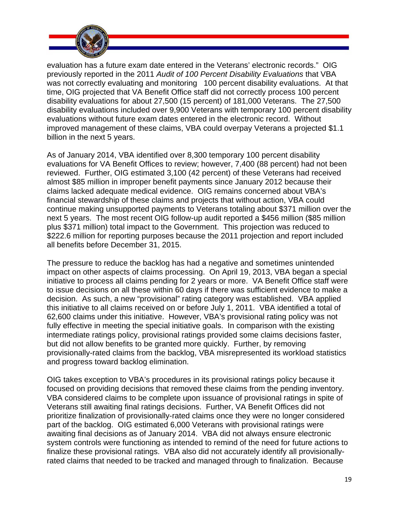

evaluation has a future exam date entered in the Veterans' electronic records." OIG previously reported in the 2011 *Audit of 100 Percent Disability Evaluations* that VBA was not correctly evaluating and monitoring 100 percent disability evaluations. At that time, OIG projected that VA Benefit Office staff did not correctly process 100 percent disability evaluations for about 27,500 (15 percent) of 181,000 Veterans. The 27,500 disability evaluations included over 9,900 Veterans with temporary 100 percent disability evaluations without future exam dates entered in the electronic record. Without improved management of these claims, VBA could overpay Veterans a projected \$1.1 billion in the next 5 years.

As of January 2014, VBA identified over 8,300 temporary 100 percent disability evaluations for VA Benefit Offices to review; however, 7,400 (88 percent) had not been reviewed. Further, OIG estimated 3,100 (42 percent) of these Veterans had received almost \$85 million in improper benefit payments since January 2012 because their claims lacked adequate medical evidence. OIG remains concerned about VBA's financial stewardship of these claims and projects that without action, VBA could continue making unsupported payments to Veterans totaling about \$371 million over the next 5 years. The most recent OIG follow-up audit reported a \$456 million (\$85 million plus \$371 million) total impact to the Government. This projection was reduced to \$222.6 million for reporting purposes because the 2011 projection and report included all benefits before December 31, 2015.

The pressure to reduce the backlog has had a negative and sometimes unintended impact on other aspects of claims processing. On April 19, 2013, VBA began a special initiative to process all claims pending for 2 years or more. VA Benefit Office staff were to issue decisions on all these within 60 days if there was sufficient evidence to make a decision. As such, a new "provisional" rating category was established. VBA applied this initiative to all claims received on or before July 1, 2011. VBA identified a total of 62,600 claims under this initiative. However, VBA's provisional rating policy was not fully effective in meeting the special initiative goals. In comparison with the existing intermediate ratings policy, provisional ratings provided some claims decisions faster, but did not allow benefits to be granted more quickly. Further, by removing provisionally-rated claims from the backlog, VBA misrepresented its workload statistics and progress toward backlog elimination.

OIG takes exception to VBA's procedures in its provisional ratings policy because it focused on providing decisions that removed these claims from the pending inventory. VBA considered claims to be complete upon issuance of provisional ratings in spite of Veterans still awaiting final ratings decisions. Further, VA Benefit Offices did not prioritize finalization of provisionally-rated claims once they were no longer considered part of the backlog. OIG estimated 6,000 Veterans with provisional ratings were awaiting final decisions as of January 2014. VBA did not always ensure electronic system controls were functioning as intended to remind of the need for future actions to finalize these provisional ratings. VBA also did not accurately identify all provisionallyrated claims that needed to be tracked and managed through to finalization. Because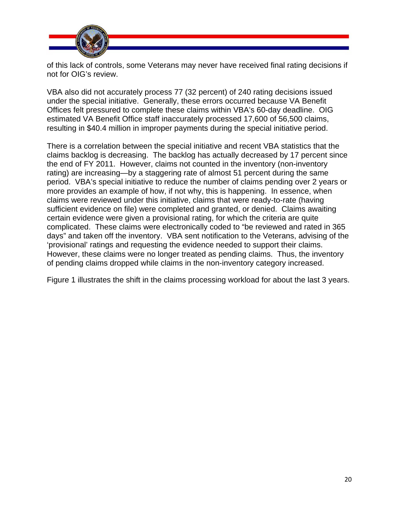

of this lack of controls, some Veterans may never have received final rating decisions if not for OIG's review.

VBA also did not accurately process 77 (32 percent) of 240 rating decisions issued under the special initiative. Generally, these errors occurred because VA Benefit Offices felt pressured to complete these claims within VBA's 60-day deadline. OIG estimated VA Benefit Office staff inaccurately processed 17,600 of 56,500 claims, resulting in \$40.4 million in improper payments during the special initiative period.

There is a correlation between the special initiative and recent VBA statistics that the claims backlog is decreasing. The backlog has actually decreased by 17 percent since the end of FY 2011. However, claims not counted in the inventory (non-inventory rating) are increasing—by a staggering rate of almost 51 percent during the same period. VBA's special initiative to reduce the number of claims pending over 2 years or more provides an example of how, if not why, this is happening. In essence, when claims were reviewed under this initiative, claims that were ready-to-rate (having sufficient evidence on file) were completed and granted, or denied. Claims awaiting certain evidence were given a provisional rating, for which the criteria are quite complicated. These claims were electronically coded to "be reviewed and rated in 365 days" and taken off the inventory. VBA sent notification to the Veterans, advising of the 'provisional' ratings and requesting the evidence needed to support their claims. However, these claims were no longer treated as pending claims. Thus, the inventory of pending claims dropped while claims in the non-inventory category increased.

Figure 1 illustrates the shift in the claims processing workload for about the last 3 years.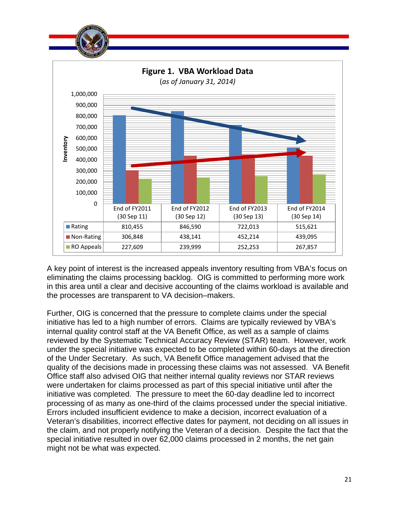

A key point of interest is the increased appeals inventory resulting from VBA's focus on eliminating the claims processing backlog. OIG is committed to performing more work in this area until a clear and decisive accounting of the claims workload is available and the processes are transparent to VA decision–makers.

Further, OIG is concerned that the pressure to complete claims under the special initiative has led to a high number of errors. Claims are typically reviewed by VBA's internal quality control staff at the VA Benefit Office, as well as a sample of claims reviewed by the Systematic Technical Accuracy Review (STAR) team. However, work under the special initiative was expected to be completed within 60-days at the direction of the Under Secretary. As such, VA Benefit Office management advised that the quality of the decisions made in processing these claims was not assessed. VA Benefit Office staff also advised OIG that neither internal quality reviews nor STAR reviews were undertaken for claims processed as part of this special initiative until after the initiative was completed. The pressure to meet the 60-day deadline led to incorrect processing of as many as one-third of the claims processed under the special initiative. Errors included insufficient evidence to make a decision, incorrect evaluation of a Veteran's disabilities, incorrect effective dates for payment, not deciding on all issues in the claim, and not properly notifying the Veteran of a decision. Despite the fact that the special initiative resulted in over 62,000 claims processed in 2 months, the net gain might not be what was expected.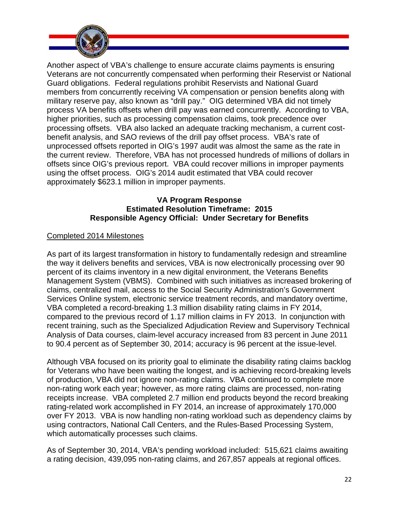

Another aspect of VBA's challenge to ensure accurate claims payments is ensuring Veterans are not concurrently compensated when performing their Reservist or National Guard obligations. Federal regulations prohibit Reservists and National Guard members from concurrently receiving VA compensation or pension benefits along with military reserve pay, also known as "drill pay." OIG determined VBA did not timely process VA benefits offsets when drill pay was earned concurrently. According to VBA, higher priorities, such as processing compensation claims, took precedence over processing offsets. VBA also lacked an adequate tracking mechanism, a current costbenefit analysis, and SAO reviews of the drill pay offset process. VBA's rate of unprocessed offsets reported in OIG's 1997 audit was almost the same as the rate in the current review. Therefore, VBA has not processed hundreds of millions of dollars in offsets since OIG's previous report. VBA could recover millions in improper payments using the offset process. OIG's 2014 audit estimated that VBA could recover approximately \$623.1 million in improper payments.

## **VA Program Response Estimated Resolution Timeframe: 2015 Responsible Agency Official: Under Secretary for Benefits**

## Completed 2014 Milestones

As part of its largest transformation in history to fundamentally redesign and streamline the way it delivers benefits and services, VBA is now electronically processing over 90 percent of its claims inventory in a new digital environment, the Veterans Benefits Management System (VBMS). Combined with such initiatives as increased brokering of claims, centralized mail, access to the Social Security Administration's Government Services Online system, electronic service treatment records, and mandatory overtime, VBA completed a record-breaking 1.3 million disability rating claims in FY 2014, compared to the previous record of 1.17 million claims in FY 2013. In conjunction with recent training, such as the Specialized Adjudication Review and Supervisory Technical Analysis of Data courses, claim-level accuracy increased from 83 percent in June 2011 to 90.4 percent as of September 30, 2014; accuracy is 96 percent at the issue-level.

Although VBA focused on its priority goal to eliminate the disability rating claims backlog for Veterans who have been waiting the longest, and is achieving record-breaking levels of production, VBA did not ignore non-rating claims. VBA continued to complete more non-rating work each year; however, as more rating claims are processed, non-rating receipts increase. VBA completed 2.7 million end products beyond the record breaking rating-related work accomplished in FY 2014, an increase of approximately 170,000 over FY 2013. VBA is now handling non-rating workload such as dependency claims by using contractors, National Call Centers, and the Rules-Based Processing System, which automatically processes such claims.

As of September 30, 2014, VBA's pending workload included: 515,621 claims awaiting a rating decision, 439,095 non-rating claims, and 267,857 appeals at regional offices.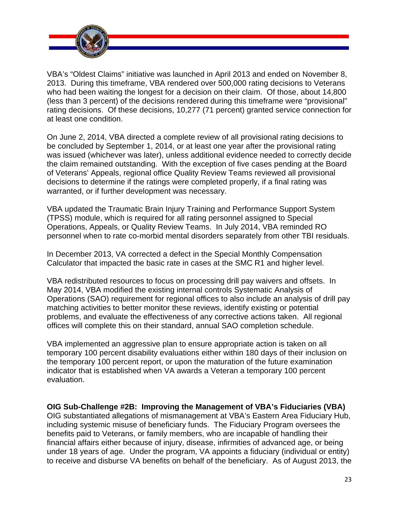

VBA's "Oldest Claims" initiative was launched in April 2013 and ended on November 8, 2013. During this timeframe, VBA rendered over 500,000 rating decisions to Veterans who had been waiting the longest for a decision on their claim. Of those, about 14,800 (less than 3 percent) of the decisions rendered during this timeframe were "provisional" rating decisions. Of these decisions, 10,277 (71 percent) granted service connection for at least one condition.

On June 2, 2014, VBA directed a complete review of all provisional rating decisions to be concluded by September 1, 2014, or at least one year after the provisional rating was issued (whichever was later), unless additional evidence needed to correctly decide the claim remained outstanding. With the exception of five cases pending at the Board of Veterans' Appeals, regional office Quality Review Teams reviewed all provisional decisions to determine if the ratings were completed properly, if a final rating was warranted, or if further development was necessary.

VBA updated the Traumatic Brain Injury Training and Performance Support System (TPSS) module, which is required for all rating personnel assigned to Special Operations, Appeals, or Quality Review Teams. In July 2014, VBA reminded RO personnel when to rate co-morbid mental disorders separately from other TBI residuals.

In December 2013, VA corrected a defect in the Special Monthly Compensation Calculator that impacted the basic rate in cases at the SMC R1 and higher level.

VBA redistributed resources to focus on processing drill pay waivers and offsets. In May 2014, VBA modified the existing internal controls Systematic Analysis of Operations (SAO) requirement for regional offices to also include an analysis of drill pay matching activities to better monitor these reviews, identify existing or potential problems, and evaluate the effectiveness of any corrective actions taken. All regional offices will complete this on their standard, annual SAO completion schedule.

VBA implemented an aggressive plan to ensure appropriate action is taken on all temporary 100 percent disability evaluations either within 180 days of their inclusion on the temporary 100 percent report, or upon the maturation of the future examination indicator that is established when VA awards a Veteran a temporary 100 percent evaluation.

**OIG Sub-Challenge #2B: Improving the Management of VBA's Fiduciaries (VBA)**  OIG substantiated allegations of mismanagement at VBA's Eastern Area Fiduciary Hub, including systemic misuse of beneficiary funds. The Fiduciary Program oversees the benefits paid to Veterans, or family members, who are incapable of handling their financial affairs either because of injury, disease, infirmities of advanced age, or being under 18 years of age. Under the program, VA appoints a fiduciary (individual or entity) to receive and disburse VA benefits on behalf of the beneficiary. As of August 2013, the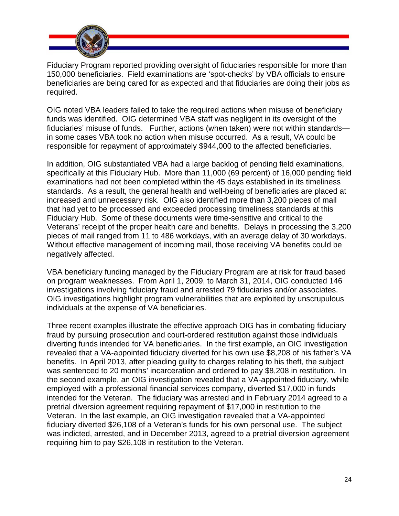

Fiduciary Program reported providing oversight of fiduciaries responsible for more than 150,000 beneficiaries. Field examinations are 'spot-checks' by VBA officials to ensure beneficiaries are being cared for as expected and that fiduciaries are doing their jobs as required.

OIG noted VBA leaders failed to take the required actions when misuse of beneficiary funds was identified. OIG determined VBA staff was negligent in its oversight of the fiduciaries' misuse of funds. Further, actions (when taken) were not within standards in some cases VBA took no action when misuse occurred. As a result, VA could be responsible for repayment of approximately \$944,000 to the affected beneficiaries.

In addition, OIG substantiated VBA had a large backlog of pending field examinations, specifically at this Fiduciary Hub. More than 11,000 (69 percent) of 16,000 pending field examinations had not been completed within the 45 days established in its timeliness standards. As a result, the general health and well-being of beneficiaries are placed at increased and unnecessary risk. OIG also identified more than 3,200 pieces of mail that had yet to be processed and exceeded processing timeliness standards at this Fiduciary Hub. Some of these documents were time-sensitive and critical to the Veterans' receipt of the proper health care and benefits. Delays in processing the 3,200 pieces of mail ranged from 11 to 486 workdays, with an average delay of 30 workdays. Without effective management of incoming mail, those receiving VA benefits could be negatively affected.

VBA beneficiary funding managed by the Fiduciary Program are at risk for fraud based on program weaknesses. From April 1, 2009, to March 31, 2014, OIG conducted 146 investigations involving fiduciary fraud and arrested 79 fiduciaries and/or associates. OIG investigations highlight program vulnerabilities that are exploited by unscrupulous individuals at the expense of VA beneficiaries.

Three recent examples illustrate the effective approach OIG has in combating fiduciary fraud by pursuing prosecution and court-ordered restitution against those individuals diverting funds intended for VA beneficiaries. In the first example, an OIG investigation revealed that a VA-appointed fiduciary diverted for his own use \$8,208 of his father's VA benefits. In April 2013, after pleading guilty to charges relating to his theft, the subject was sentenced to 20 months' incarceration and ordered to pay \$8,208 in restitution. In the second example, an OIG investigation revealed that a VA-appointed fiduciary, while employed with a professional financial services company, diverted \$17,000 in funds intended for the Veteran. The fiduciary was arrested and in February 2014 agreed to a pretrial diversion agreement requiring repayment of \$17,000 in restitution to the Veteran. In the last example, an OIG investigation revealed that a VA-appointed fiduciary diverted \$26,108 of a Veteran's funds for his own personal use. The subject was indicted, arrested, and in December 2013, agreed to a pretrial diversion agreement requiring him to pay \$26,108 in restitution to the Veteran.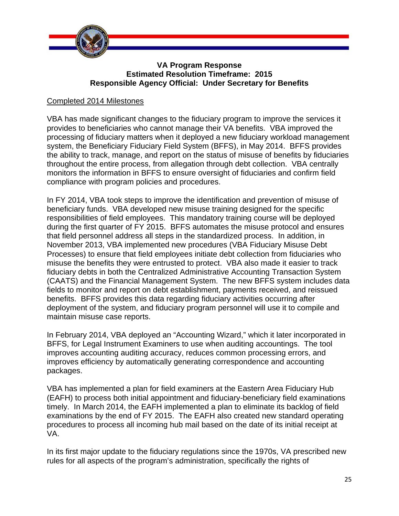

#### **VA Program Response Estimated Resolution Timeframe: 2015 Responsible Agency Official: Under Secretary for Benefits**

#### Completed 2014 Milestones

VBA has made significant changes to the fiduciary program to improve the services it provides to beneficiaries who cannot manage their VA benefits. VBA improved the processing of fiduciary matters when it deployed a new fiduciary workload management system, the Beneficiary Fiduciary Field System (BFFS), in May 2014. BFFS provides the ability to track, manage, and report on the status of misuse of benefits by fiduciaries throughout the entire process, from allegation through debt collection. VBA centrally monitors the information in BFFS to ensure oversight of fiduciaries and confirm field compliance with program policies and procedures.

In FY 2014, VBA took steps to improve the identification and prevention of misuse of beneficiary funds. VBA developed new misuse training designed for the specific responsibilities of field employees. This mandatory training course will be deployed during the first quarter of FY 2015. BFFS automates the misuse protocol and ensures that field personnel address all steps in the standardized process. In addition, in November 2013, VBA implemented new procedures (VBA Fiduciary Misuse Debt Processes) to ensure that field employees initiate debt collection from fiduciaries who misuse the benefits they were entrusted to protect. VBA also made it easier to track fiduciary debts in both the Centralized Administrative Accounting Transaction System (CAATS) and the Financial Management System. The new BFFS system includes data fields to monitor and report on debt establishment, payments received, and reissued benefits. BFFS provides this data regarding fiduciary activities occurring after deployment of the system, and fiduciary program personnel will use it to compile and maintain misuse case reports.

In February 2014, VBA deployed an "Accounting Wizard," which it later incorporated in BFFS, for Legal Instrument Examiners to use when auditing accountings. The tool improves accounting auditing accuracy, reduces common processing errors, and improves efficiency by automatically generating correspondence and accounting packages.

VBA has implemented a plan for field examiners at the Eastern Area Fiduciary Hub (EAFH) to process both initial appointment and fiduciary-beneficiary field examinations timely. In March 2014, the EAFH implemented a plan to eliminate its backlog of field examinations by the end of FY 2015. The EAFH also created new standard operating procedures to process all incoming hub mail based on the date of its initial receipt at VA.

In its first major update to the fiduciary regulations since the 1970s, VA prescribed new rules for all aspects of the program's administration, specifically the rights of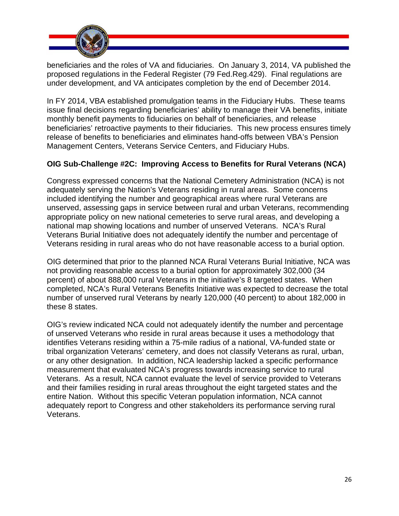

beneficiaries and the roles of VA and fiduciaries. On January 3, 2014, VA published the proposed regulations in the Federal Register (79 Fed.Reg.429). Final regulations are under development, and VA anticipates completion by the end of December 2014.

In FY 2014, VBA established promulgation teams in the Fiduciary Hubs. These teams issue final decisions regarding beneficiaries' ability to manage their VA benefits, initiate monthly benefit payments to fiduciaries on behalf of beneficiaries, and release beneficiaries' retroactive payments to their fiduciaries. This new process ensures timely release of benefits to beneficiaries and eliminates hand-offs between VBA's Pension Management Centers, Veterans Service Centers, and Fiduciary Hubs.

## **OIG Sub-Challenge #2C: Improving Access to Benefits for Rural Veterans (NCA)**

Congress expressed concerns that the National Cemetery Administration (NCA) is not adequately serving the Nation's Veterans residing in rural areas. Some concerns included identifying the number and geographical areas where rural Veterans are unserved, assessing gaps in service between rural and urban Veterans, recommending appropriate policy on new national cemeteries to serve rural areas, and developing a national map showing locations and number of unserved Veterans. NCA's Rural Veterans Burial Initiative does not adequately identify the number and percentage of Veterans residing in rural areas who do not have reasonable access to a burial option.

OIG determined that prior to the planned NCA Rural Veterans Burial Initiative, NCA was not providing reasonable access to a burial option for approximately 302,000 (34 percent) of about 888,000 rural Veterans in the initiative's 8 targeted states. When completed, NCA's Rural Veterans Benefits Initiative was expected to decrease the total number of unserved rural Veterans by nearly 120,000 (40 percent) to about 182,000 in these 8 states.

OIG's review indicated NCA could not adequately identify the number and percentage of unserved Veterans who reside in rural areas because it uses a methodology that identifies Veterans residing within a 75-mile radius of a national, VA-funded state or tribal organization Veterans' cemetery, and does not classify Veterans as rural, urban, or any other designation. In addition, NCA leadership lacked a specific performance measurement that evaluated NCA's progress towards increasing service to rural Veterans. As a result, NCA cannot evaluate the level of service provided to Veterans and their families residing in rural areas throughout the eight targeted states and the entire Nation. Without this specific Veteran population information, NCA cannot adequately report to Congress and other stakeholders its performance serving rural Veterans.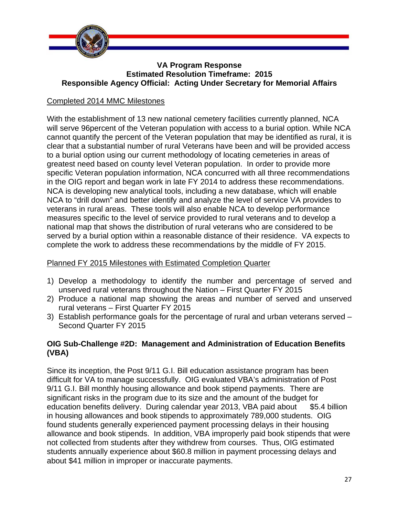

#### **VA Program Response Estimated Resolution Timeframe: 2015 Responsible Agency Official: Acting Under Secretary for Memorial Affairs**

## Completed 2014 MMC Milestones

With the establishment of 13 new national cemetery facilities currently planned, NCA will serve 96percent of the Veteran population with access to a burial option. While NCA cannot quantify the percent of the Veteran population that may be identified as rural, it is clear that a substantial number of rural Veterans have been and will be provided access to a burial option using our current methodology of locating cemeteries in areas of greatest need based on county level Veteran population. In order to provide more specific Veteran population information, NCA concurred with all three recommendations in the OIG report and began work in late FY 2014 to address these recommendations. NCA is developing new analytical tools, including a new database, which will enable NCA to "drill down" and better identify and analyze the level of service VA provides to veterans in rural areas. These tools will also enable NCA to develop performance measures specific to the level of service provided to rural veterans and to develop a national map that shows the distribution of rural veterans who are considered to be served by a burial option within a reasonable distance of their residence. VA expects to complete the work to address these recommendations by the middle of FY 2015.

## Planned FY 2015 Milestones with Estimated Completion Quarter

- 1) Develop a methodology to identify the number and percentage of served and unserved rural veterans throughout the Nation – First Quarter FY 2015
- 2) Produce a national map showing the areas and number of served and unserved rural veterans – First Quarter FY 2015
- 3) Establish performance goals for the percentage of rural and urban veterans served Second Quarter FY 2015

## **OIG Sub-Challenge #2D: Management and Administration of Education Benefits (VBA)**

Since its inception, the Post 9/11 G.I. Bill education assistance program has been difficult for VA to manage successfully. OIG evaluated VBA's administration of Post 9/11 G.I. Bill monthly housing allowance and book stipend payments. There are significant risks in the program due to its size and the amount of the budget for education benefits delivery. During calendar year 2013, VBA paid about \$5.4 billion in housing allowances and book stipends to approximately 789,000 students. OIG found students generally experienced payment processing delays in their housing allowance and book stipends. In addition, VBA improperly paid book stipends that were not collected from students after they withdrew from courses. Thus, OIG estimated students annually experience about \$60.8 million in payment processing delays and about \$41 million in improper or inaccurate payments.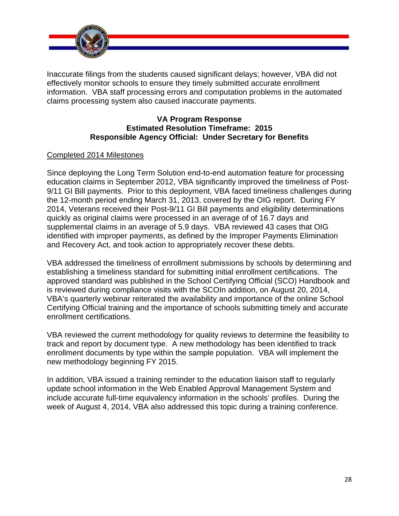

Inaccurate filings from the students caused significant delays; however, VBA did not effectively monitor schools to ensure they timely submitted accurate enrollment information. VBA staff processing errors and computation problems in the automated claims processing system also caused inaccurate payments.

#### **VA Program Response Estimated Resolution Timeframe: 2015 Responsible Agency Official: Under Secretary for Benefits**

## Completed 2014 Milestones

Since deploying the Long Term Solution end-to-end automation feature for processing education claims in September 2012, VBA significantly improved the timeliness of Post-9/11 GI Bill payments. Prior to this deployment, VBA faced timeliness challenges during the 12-month period ending March 31, 2013, covered by the OIG report. During FY 2014, Veterans received their Post-9/11 GI Bill payments and eligibility determinations quickly as original claims were processed in an average of of 16.7 days and supplemental claims in an average of 5.9 days. VBA reviewed 43 cases that OIG identified with improper payments, as defined by the Improper Payments Elimination and Recovery Act, and took action to appropriately recover these debts.

VBA addressed the timeliness of enrollment submissions by schools by determining and establishing a timeliness standard for submitting initial enrollment certifications. The approved standard was published in the School Certifying Official (SCO) Handbook and is reviewed during compliance visits with the SCOIn addition, on August 20, 2014, VBA's quarterly webinar reiterated the availability and importance of the online School Certifying Official training and the importance of schools submitting timely and accurate enrollment certifications.

VBA reviewed the current methodology for quality reviews to determine the feasibility to track and report by document type. A new methodology has been identified to track enrollment documents by type within the sample population. VBA will implement the new methodology beginning FY 2015.

In addition, VBA issued a training reminder to the education liaison staff to regularly update school information in the Web Enabled Approval Management System and include accurate full-time equivalency information in the schools' profiles. During the week of August 4, 2014, VBA also addressed this topic during a training conference.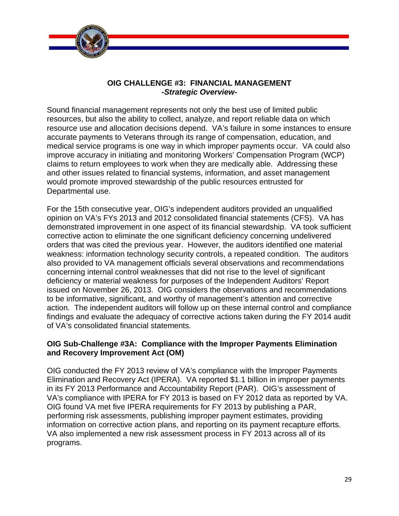

#### **OIG CHALLENGE #3: FINANCIAL MANAGEMENT -***Strategic Overview***-**

Sound financial management represents not only the best use of limited public resources, but also the ability to collect, analyze, and report reliable data on which resource use and allocation decisions depend. VA's failure in some instances to ensure accurate payments to Veterans through its range of compensation, education, and medical service programs is one way in which improper payments occur. VA could also improve accuracy in initiating and monitoring Workers' Compensation Program (WCP) claims to return employees to work when they are medically able. Addressing these and other issues related to financial systems, information, and asset management would promote improved stewardship of the public resources entrusted for Departmental use.

 action. The independent auditors will follow up on these internal control and compliance For the 15th consecutive year, OIG's independent auditors provided an unqualified opinion on VA's FYs 2013 and 2012 consolidated financial statements (CFS). VA has demonstrated improvement in one aspect of its financial stewardship. VA took sufficient corrective action to eliminate the one significant deficiency concerning undelivered orders that was cited the previous year. However, the auditors identified one material weakness: information technology security controls, a repeated condition. The auditors also provided to VA management officials several observations and recommendations concerning internal control weaknesses that did not rise to the level of significant deficiency or material weakness for purposes of the Independent Auditors' Report issued on November 26, 2013. OIG considers the observations and recommendations to be informative, significant, and worthy of management's attention and corrective findings and evaluate the adequacy of corrective actions taken during the FY 2014 audit of VA's consolidated financial statements.

## **OIG Sub-Challenge #3A: Compliance with the Improper Payments Elimination and Recovery Improvement Act (OM)**

OIG conducted the FY 2013 review of VA's compliance with the Improper Payments Elimination and Recovery Act (IPERA). VA reported \$1.1 billion in improper payments in its FY 2013 Performance and Accountability Report (PAR). OIG's assessment of VA's compliance with IPERA for FY 2013 is based on FY 2012 data as reported by VA. OIG found VA met five IPERA requirements for FY 2013 by publishing a PAR, performing risk assessments, publishing improper payment estimates, providing information on corrective action plans, and reporting on its payment recapture efforts. VA also implemented a new risk assessment process in FY 2013 across all of its programs.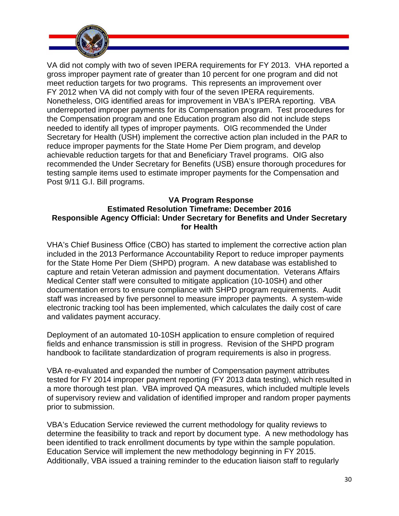

VA did not comply with two of seven IPERA requirements for FY 2013. VHA reported a gross improper payment rate of greater than 10 percent for one program and did not meet reduction targets for two programs. This represents an improvement over FY 2012 when VA did not comply with four of the seven IPERA requirements. Nonetheless, OIG identified areas for improvement in VBA's IPERA reporting. VBA underreported improper payments for its Compensation program. Test procedures for the Compensation program and one Education program also did not include steps needed to identify all types of improper payments. OIG recommended the Under Secretary for Health (USH) implement the corrective action plan included in the PAR to reduce improper payments for the State Home Per Diem program, and develop achievable reduction targets for that and Beneficiary Travel programs. OIG also recommended the Under Secretary for Benefits (USB) ensure thorough procedures for testing sample items used to estimate improper payments for the Compensation and Post 9/11 G.I. Bill programs.

## **VA Program Response Estimated Resolution Timeframe: December 2016 Responsible Agency Official: Under Secretary for Benefits and Under Secretary for Health**

VHA's Chief Business Office (CBO) has started to implement the corrective action plan included in the 2013 Performance Accountability Report to reduce improper payments for the State Home Per Diem (SHPD) program. A new database was established to capture and retain Veteran admission and payment documentation. Veterans Affairs Medical Center staff were consulted to mitigate application (10-10SH) and other documentation errors to ensure compliance with SHPD program requirements. Audit staff was increased by five personnel to measure improper payments. A system-wide electronic tracking tool has been implemented, which calculates the daily cost of care and validates payment accuracy.

Deployment of an automated 10-10SH application to ensure completion of required fields and enhance transmission is still in progress. Revision of the SHPD program handbook to facilitate standardization of program requirements is also in progress.

VBA re-evaluated and expanded the number of Compensation payment attributes tested for FY 2014 improper payment reporting (FY 2013 data testing), which resulted in a more thorough test plan. VBA improved QA measures, which included multiple levels of supervisory review and validation of identified improper and random proper payments prior to submission.

VBA's Education Service reviewed the current methodology for quality reviews to determine the feasibility to track and report by document type. A new methodology has been identified to track enrollment documents by type within the sample population. Education Service will implement the new methodology beginning in FY 2015. Additionally, VBA issued a training reminder to the education liaison staff to regularly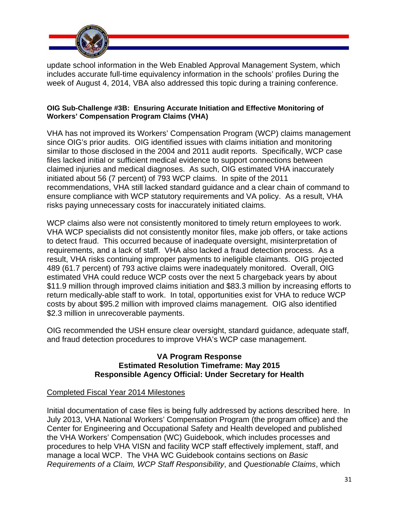

update school information in the Web Enabled Approval Management System, which includes accurate full-time equivalency information in the schools' profiles During the week of August 4, 2014, VBA also addressed this topic during a training conference.

#### **OIG Sub-Challenge #3B: Ensuring Accurate Initiation and Effective Monitoring of Workers' Compensation Program Claims (VHA)**

VHA has not improved its Workers' Compensation Program (WCP) claims management since OIG's prior audits. OIG identified issues with claims initiation and monitoring similar to those disclosed in the 2004 and 2011 audit reports. Specifically, WCP case files lacked initial or sufficient medical evidence to support connections between claimed injuries and medical diagnoses. As such, OIG estimated VHA inaccurately initiated about 56 (7 percent) of 793 WCP claims. In spite of the 2011 recommendations, VHA still lacked standard guidance and a clear chain of command to ensure compliance with WCP statutory requirements and VA policy. As a result, VHA risks paying unnecessary costs for inaccurately initiated claims.

WCP claims also were not consistently monitored to timely return employees to work. VHA WCP specialists did not consistently monitor files, make job offers, or take actions to detect fraud. This occurred because of inadequate oversight, misinterpretation of requirements, and a lack of staff. VHA also lacked a fraud detection process. As a result, VHA risks continuing improper payments to ineligible claimants. OIG projected 489 (61.7 percent) of 793 active claims were inadequately monitored. Overall, OIG estimated VHA could reduce WCP costs over the next 5 chargeback years by about \$11.9 million through improved claims initiation and \$83.3 million by increasing efforts to return medically-able staff to work. In total, opportunities exist for VHA to reduce WCP costs by about \$95.2 million with improved claims management. OIG also identified \$2.3 million in unrecoverable payments.

OIG recommended the USH ensure clear oversight, standard guidance, adequate staff, and fraud detection procedures to improve VHA's WCP case management.

#### **VA Program Response Estimated Resolution Timeframe: May 2015 Responsible Agency Official: Under Secretary for Health**

#### Completed Fiscal Year 2014 Milestones

Initial documentation of case files is being fully addressed by actions described here. In July 2013, VHA National Workers' Compensation Program (the program office) and the Center for Engineering and Occupational Safety and Health developed and published the VHA Workers' Compensation (WC) Guidebook, which includes processes and procedures to help VHA VISN and facility WCP staff effectively implement, staff, and manage a local WCP. The VHA WC Guidebook contains sections on *Basic Requirements of a Claim, WCP Staff Responsibility*, and *Questionable Claims*, which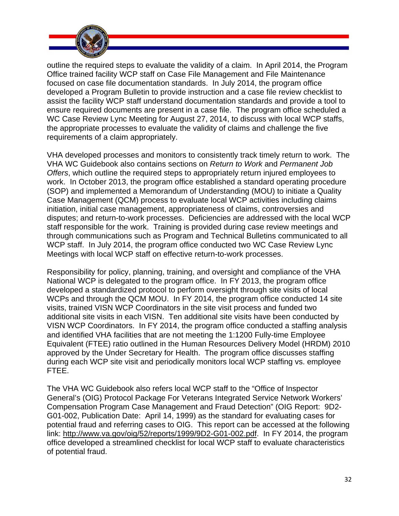

outline the required steps to evaluate the validity of a claim. In April 2014, the Program Office trained facility WCP staff on Case File Management and File Maintenance focused on case file documentation standards. In July 2014, the program office developed a Program Bulletin to provide instruction and a case file review checklist to assist the facility WCP staff understand documentation standards and provide a tool to ensure required documents are present in a case file. The program office scheduled a WC Case Review Lync Meeting for August 27, 2014, to discuss with local WCP staffs, the appropriate processes to evaluate the validity of claims and challenge the five requirements of a claim appropriately.

VHA developed processes and monitors to consistently track timely return to work. The VHA WC Guidebook also contains sections on *Return to Work* and *Permanent Job Offers*, which outline the required steps to appropriately return injured employees to work. In October 2013, the program office established a standard operating procedure (SOP) and implemented a Memorandum of Understanding (MOU) to initiate a Quality Case Management (QCM) process to evaluate local WCP activities including claims initiation, initial case management, appropriateness of claims, controversies and disputes; and return-to-work processes. Deficiencies are addressed with the local WCP staff responsible for the work. Training is provided during case review meetings and through communications such as Program and Technical Bulletins communicated to all WCP staff. In July 2014, the program office conducted two WC Case Review Lync Meetings with local WCP staff on effective return-to-work processes.

Responsibility for policy, planning, training, and oversight and compliance of the VHA National WCP is delegated to the program office. In FY 2013, the program office developed a standardized protocol to perform oversight through site visits of local WCPs and through the QCM MOU. In FY 2014, the program office conducted 14 site visits, trained VISN WCP Coordinators in the site visit process and funded two additional site visits in each VISN. Ten additional site visits have been conducted by VISN WCP Coordinators. In FY 2014, the program office conducted a staffing analysis and identified VHA facilities that are not meeting the 1:1200 Fully-time Employee Equivalent (FTEE) ratio outlined in the Human Resources Delivery Model (HRDM) 2010 approved by the Under Secretary for Health. The program office discusses staffing during each WCP site visit and periodically monitors local WCP staffing vs. employee FTEE.

The VHA WC Guidebook also refers local WCP staff to the "Office of Inspector General's (OIG) Protocol Package For Veterans Integrated Service Network Workers' Compensation Program Case Management and Fraud Detection" (OIG Report: 9D2- G01-002, Publication Date: April 14, 1999) as the standard for evaluating cases for potential fraud and referring cases to OIG. This report can be accessed at the following link: [http://www.va.gov/oig/52/reports/1999/9D2-G01-002.pdf. In](http://www.va.gov/oig/52/reports/1999/9D2-G01-002.pdf) FY 2014, the program office developed a streamlined checklist for local WCP staff to evaluate characteristics of potential fraud.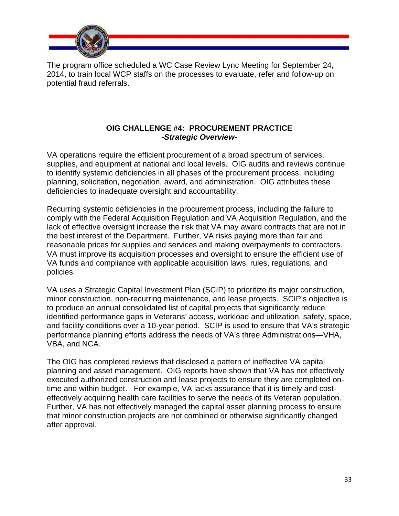

The program office scheduled a WC Case Review Lync Meeting for September 24, 2014, to train local WCP staffs on the processes to evaluate, refer and follow-up on potential fraud referrals.

## **OIG CHALLENGE #4: PROCUREMENT PRACTICE**  *-Strategic Overview-*

VA operations require the efficient procurement of a broad spectrum of services, supplies, and equipment at national and local levels. OIG audits and reviews continue to identify systemic deficiencies in all phases of the procurement process, including planning, solicitation, negotiation, award, and administration. OIG attributes these deficiencies to inadequate oversight and accountability.

Recurring systemic deficiencies in the procurement process, including the failure to comply with the Federal Acquisition Regulation and VA Acquisition Regulation, and the lack of effective oversight increase the risk that VA may award contracts that are not in the best interest of the Department. Further, VA risks paying more than fair and reasonable prices for supplies and services and making overpayments to contractors. VA must improve its acquisition processes and oversight to ensure the efficient use of VA funds and compliance with applicable acquisition laws, rules, regulations, and policies.

VA uses a Strategic Capital Investment Plan (SCIP) to prioritize its major construction, minor construction, non-recurring maintenance, and lease projects. SCIP's objective is to produce an annual consolidated list of capital projects that significantly reduce identified performance gaps in Veterans' access, workload and utilization, safety, space, and facility conditions over a 10-year period. SCIP is used to ensure that VA's strategic performance planning efforts address the needs of VA's three Administrations—VHA, VBA, and NCA.

The OIG has completed reviews that disclosed a pattern of ineffective VA capital planning and asset management. OIG reports have shown that VA has not effectively executed authorized construction and lease projects to ensure they are completed ontime and within budget. For example, VA lacks assurance that it is timely and costeffectively acquiring health care facilities to serve the needs of its Veteran population. Further, VA has not effectively managed the capital asset planning process to ensure that minor construction projects are not combined or otherwise significantly changed after approval.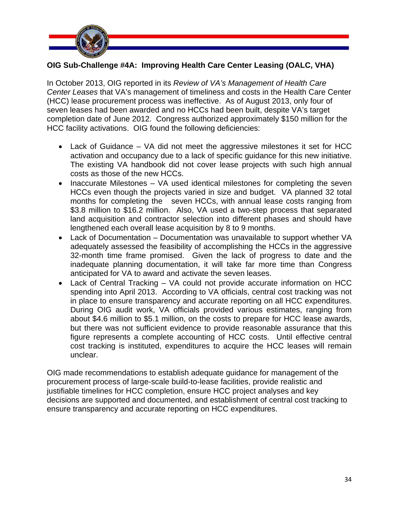

## **OIG Sub-Challenge #4A: Improving Health Care Center Leasing (OALC, VHA)**

In October 2013, OIG reported in its *Review of VA's Management of Health Care Center Leases* that VA's management of timeliness and costs in the Health Care Center (HCC) lease procurement process was ineffective. As of August 2013, only four of seven leases had been awarded and no HCCs had been built, despite VA's target completion date of June 2012. Congress authorized approximately \$150 million for the HCC facility activations. OIG found the following deficiencies:

- Lack of Guidance VA did not meet the aggressive milestones it set for HCC activation and occupancy due to a lack of specific guidance for this new initiative. The existing VA handbook did not cover lease projects with such high annual costs as those of the new HCCs.
- $\bullet$  Inaccurate Milestones VA used identical milestones for completing the seven HCCs even though the projects varied in size and budget. VA planned 32 total months for completing the seven HCCs, with annual lease costs ranging from \$3.8 million to \$16.2 million. Also, VA used a two-step process that separated land acquisition and contractor selection into different phases and should have lengthened each overall lease acquisition by 8 to 9 months.
- Lack of Documentation Documentation was unavailable to support whether VA adequately assessed the feasibility of accomplishing the HCCs in the aggressive 32-month time frame promised. Given the lack of progress to date and the inadequate planning documentation, it will take far more time than Congress anticipated for VA to award and activate the seven leases.
- Lack of Central Tracking VA could not provide accurate information on HCC spending into April 2013. According to VA officials, central cost tracking was not in place to ensure transparency and accurate reporting on all HCC expenditures. During OIG audit work, VA officials provided various estimates, ranging from about \$4.6 million to \$5.1 million, on the costs to prepare for HCC lease awards, but there was not sufficient evidence to provide reasonable assurance that this figure represents a complete accounting of HCC costs. Until effective central cost tracking is instituted, expenditures to acquire the HCC leases will remain unclear.

OIG made recommendations to establish adequate guidance for management of the procurement process of large-scale build-to-lease facilities, provide realistic and justifiable timelines for HCC completion, ensure HCC project analyses and key decisions are supported and documented, and establishment of central cost tracking to ensure transparency and accurate reporting on HCC expenditures.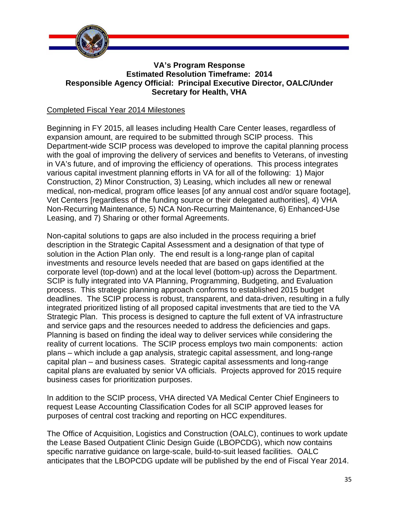

#### **VA's Program Response Estimated Resolution Timeframe: 2014 Responsible Agency Official: Principal Executive Director, OALC/Under Secretary for Health, VHA**

## Completed Fiscal Year 2014 Milestones

Beginning in FY 2015, all leases including Health Care Center leases, regardless of expansion amount, are required to be submitted through SCIP process. This Department-wide SCIP process was developed to improve the capital planning process with the goal of improving the delivery of services and benefits to Veterans, of investing in VA's future, and of improving the efficiency of operations. This process integrates various capital investment planning efforts in VA for all of the following: 1) Major Construction, 2) Minor Construction, 3) Leasing, which includes all new or renewal medical, non-medical, program office leases [of any annual cost and/or square footage], Vet Centers [regardless of the funding source or their delegated authorities], 4) VHA Non-Recurring Maintenance, 5) NCA Non-Recurring Maintenance, 6) Enhanced-Use Leasing, and 7) Sharing or other formal Agreements.

Non-capital solutions to gaps are also included in the process requiring a brief description in the Strategic Capital Assessment and a designation of that type of solution in the Action Plan only. The end result is a long-range plan of capital investments and resource levels needed that are based on gaps identified at the corporate level (top-down) and at the local level (bottom-up) across the Department. SCIP is fully integrated into VA Planning, Programming, Budgeting, and Evaluation process. This strategic planning approach conforms to established 2015 budget deadlines. The SCIP process is robust, transparent, and data-driven, resulting in a fully integrated prioritized listing of all proposed capital investments that are tied to the VA Strategic Plan. This process is designed to capture the full extent of VA infrastructure and service gaps and the resources needed to address the deficiencies and gaps. Planning is based on finding the ideal way to deliver services while considering the reality of current locations. The SCIP process employs two main components: action plans – which include a gap analysis, strategic capital assessment, and long-range capital plan – and business cases. Strategic capital assessments and long-range capital plans are evaluated by senior VA officials. Projects approved for 2015 require business cases for prioritization purposes.

In addition to the SCIP process, VHA directed VA Medical Center Chief Engineers to request Lease Accounting Classification Codes for all SCIP approved leases for purposes of central cost tracking and reporting on HCC expenditures.

 anticipates that the LBOPCDG update will be published by the end of Fiscal Year 2014. The Office of Acquisition, Logistics and Construction (OALC), continues to work update the Lease Based Outpatient Clinic Design Guide (LBOPCDG), which now contains specific narrative guidance on large-scale, build-to-suit leased facilities. OALC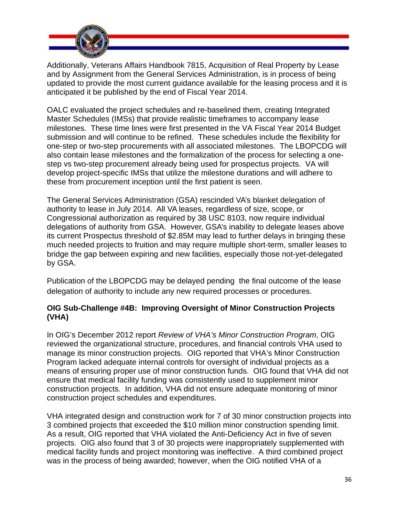

Additionally, Veterans Affairs Handbook 7815, Acquisition of Real Property by Lease and by Assignment from the General Services Administration, is in process of being updated to provide the most current guidance available for the leasing process and it is anticipated it be published by the end of Fiscal Year 2014.

OALC evaluated the project schedules and re-baselined them, creating Integrated Master Schedules (IMSs) that provide realistic timeframes to accompany lease milestones. These time lines were first presented in the VA Fiscal Year 2014 Budget submission and will continue to be refined. These schedules include the flexibility for one-step or two-step procurements with all associated milestones. The LBOPCDG will also contain lease milestones and the formalization of the process for selecting a onestep vs two-step procurement already being used for prospectus projects. VA will develop project-specific IMSs that utilize the milestone durations and will adhere to these from procurement inception until the first patient is seen.

The General Services Administration (GSA) rescinded VA's blanket delegation of authority to lease in July 2014. All VA leases, regardless of size, scope, or Congressional authorization as required by 38 USC 8103, now require individual delegations of authority from GSA. However, GSA's inability to delegate leases above its current Prospectus threshold of \$2.85M may lead to further delays in bringing these much needed projects to fruition and may require multiple short-term, smaller leases to bridge the gap between expiring and new facilities, especially those not-yet-delegated by GSA.

Publication of the LBOPCDG may be delayed pending the final outcome of the lease delegation of authority to include any new required processes or procedures.

## **OIG Sub-Challenge #4B: Improving Oversight of Minor Construction Projects (VHA)**

In OIG's December 2012 report *Review of VHA's Minor Construction Program*, OIG reviewed the organizational structure, procedures, and financial controls VHA used to manage its minor construction projects. OIG reported that VHA's Minor Construction Program lacked adequate internal controls for oversight of individual projects as a means of ensuring proper use of minor construction funds. OIG found that VHA did not ensure that medical facility funding was consistently used to supplement minor construction projects. In addition, VHA did not ensure adequate monitoring of minor construction project schedules and expenditures.

VHA integrated design and construction work for 7 of 30 minor construction projects into 3 combined projects that exceeded the \$10 million minor construction spending limit. As a result, OIG reported that VHA violated the Anti-Deficiency Act in five of seven projects. OIG also found that 3 of 30 projects were inappropriately supplemented with medical facility funds and project monitoring was ineffective. A third combined project was in the process of being awarded; however, when the OIG notified VHA of a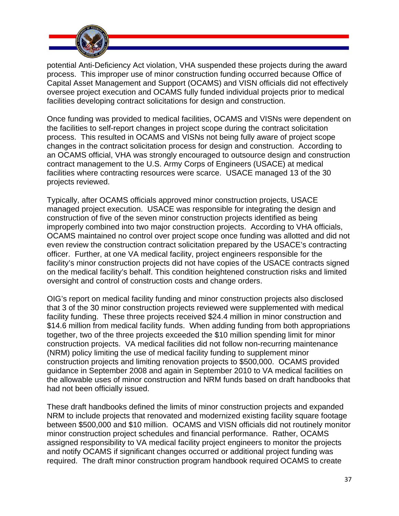

potential Anti-Deficiency Act violation, VHA suspended these projects during the award process. This improper use of minor construction funding occurred because Office of Capital Asset Management and Support (OCAMS) and VISN officials did not effectively oversee project execution and OCAMS fully funded individual projects prior to medical facilities developing contract solicitations for design and construction.

Once funding was provided to medical facilities, OCAMS and VISNs were dependent on the facilities to self-report changes in project scope during the contract solicitation process. This resulted in OCAMS and VISNs not being fully aware of project scope changes in the contract solicitation process for design and construction. According to an OCAMS official, VHA was strongly encouraged to outsource design and construction contract management to the U.S. Army Corps of Engineers (USACE) at medical facilities where contracting resources were scarce. USACE managed 13 of the 30 projects reviewed.

Typically, after OCAMS officials approved minor construction projects, USACE managed project execution. USACE was responsible for integrating the design and construction of five of the seven minor construction projects identified as being improperly combined into two major construction projects. According to VHA officials, OCAMS maintained no control over project scope once funding was allotted and did not even review the construction contract solicitation prepared by the USACE's contracting officer. Further, at one VA medical facility, project engineers responsible for the facility's minor construction projects did not have copies of the USACE contracts signed on the medical facility's behalf. This condition heightened construction risks and limited oversight and control of construction costs and change orders.

OIG's report on medical facility funding and minor construction projects also disclosed that 3 of the 30 minor construction projects reviewed were supplemented with medical facility funding. These three projects received \$24.4 million in minor construction and \$14.6 million from medical facility funds. When adding funding from both appropriations together, two of the three projects exceeded the \$10 million spending limit for minor construction projects. VA medical facilities did not follow non-recurring maintenance (NRM) policy limiting the use of medical facility funding to supplement minor construction projects and limiting renovation projects to \$500,000. OCAMS provided guidance in September 2008 and again in September 2010 to VA medical facilities on the allowable uses of minor construction and NRM funds based on draft handbooks that had not been officially issued.

These draft handbooks defined the limits of minor construction projects and expanded NRM to include projects that renovated and modernized existing facility square footage between \$500,000 and \$10 million. OCAMS and VISN officials did not routinely monitor minor construction project schedules and financial performance. Rather, OCAMS assigned responsibility to VA medical facility project engineers to monitor the projects and notify OCAMS if significant changes occurred or additional project funding was required. The draft minor construction program handbook required OCAMS to create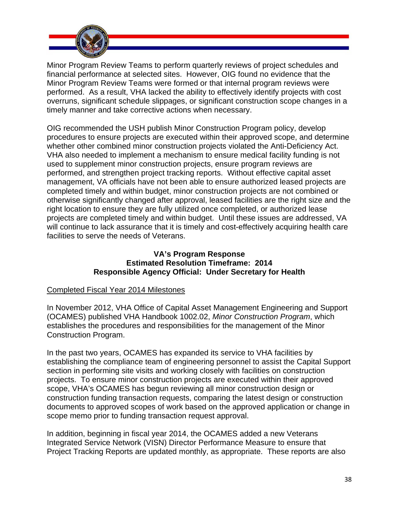

Minor Program Review Teams to perform quarterly reviews of project schedules and financial performance at selected sites. However, OIG found no evidence that the Minor Program Review Teams were formed or that internal program reviews were performed. As a result, VHA lacked the ability to effectively identify projects with cost overruns, significant schedule slippages, or significant construction scope changes in a timely manner and take corrective actions when necessary.

OIG recommended the USH publish Minor Construction Program policy, develop procedures to ensure projects are executed within their approved scope, and determine whether other combined minor construction projects violated the Anti-Deficiency Act. VHA also needed to implement a mechanism to ensure medical facility funding is not used to supplement minor construction projects, ensure program reviews are performed, and strengthen project tracking reports. Without effective capital asset management, VA officials have not been able to ensure authorized leased projects are completed timely and within budget, minor construction projects are not combined or otherwise significantly changed after approval, leased facilities are the right size and the right location to ensure they are fully utilized once completed, or authorized lease projects are completed timely and within budget. Until these issues are addressed, VA will continue to lack assurance that it is timely and cost-effectively acquiring health care facilities to serve the needs of Veterans.

## **Estimated Resolution Timeframe: 2014 VA's Program Response Responsible Agency Official: Under Secretary for Health**

## Completed Fiscal Year 2014 Milestones

In November 2012, VHA Office of Capital Asset Management Engineering and Support (OCAMES) published VHA Handbook 1002.02, *Minor Construction Program*, which establishes the procedures and responsibilities for the management of the Minor Construction Program.

In the past two years, OCAMES has expanded its service to VHA facilities by establishing the compliance team of engineering personnel to assist the Capital Support section in performing site visits and working closely with facilities on construction projects. To ensure minor construction projects are executed within their approved scope, VHA's OCAMES has begun reviewing all minor construction design or construction funding transaction requests, comparing the latest design or construction documents to approved scopes of work based on the approved application or change in scope memo prior to funding transaction request approval.

In addition, beginning in fiscal year 2014, the OCAMES added a new Veterans Integrated Service Network (VISN) Director Performance Measure to ensure that Project Tracking Reports are updated monthly, as appropriate. These reports are also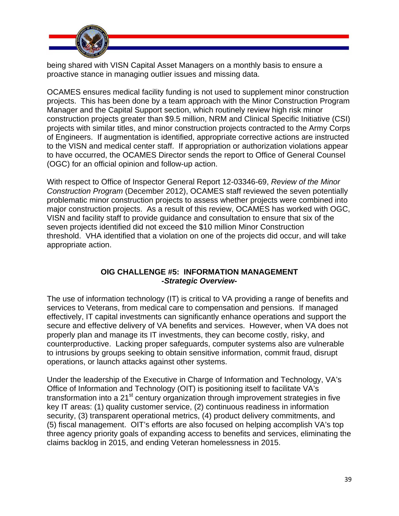

being shared with VISN Capital Asset Managers on a monthly basis to ensure a proactive stance in managing outlier issues and missing data.

OCAMES ensures medical facility funding is not used to supplement minor construction projects. This has been done by a team approach with the Minor Construction Program Manager and the Capital Support section, which routinely review high risk minor construction projects greater than \$9.5 million, NRM and Clinical Specific Initiative (CSI) projects with similar titles, and minor construction projects contracted to the Army Corps of Engineers. If augmentation is identified, appropriate corrective actions are instructed to the VISN and medical center staff. If appropriation or authorization violations appear to have occurred, the OCAMES Director sends the report to Office of General Counsel (OGC) for an official opinion and follow-up action.

With respect to Office of Inspector General Report 12-03346-69, *Review of the Minor Construction Program* (December 2012), OCAMES staff reviewed the seven potentially problematic minor construction projects to assess whether projects were combined into major construction projects. As a result of this review, OCAMES has worked with OGC, VISN and facility staff to provide guidance and consultation to ensure that six of the seven projects identified did not exceed the \$10 million Minor Construction threshold. VHA identified that a violation on one of the projects did occur, and will take appropriate action.

#### **OIG CHALLENGE #5: INFORMATION MANAGEMENT**  *-Strategic Overview-*

The use of information technology (IT) is critical to VA providing a range of benefits and services to Veterans, from medical care to compensation and pensions. If managed effectively, IT capital investments can significantly enhance operations and support the secure and effective delivery of VA benefits and services. However, when VA does not properly plan and manage its IT investments, they can become costly, risky, and counterproductive. Lacking proper safeguards, computer systems also are vulnerable to intrusions by groups seeking to obtain sensitive information, commit fraud, disrupt operations, or launch attacks against other systems.

Under the leadership of the Executive in Charge of Information and Technology, VA's Office of Information and Technology (OIT) is positioning itself to facilitate VA's transformation into a  $21<sup>st</sup>$  century organization through improvement strategies in five key IT areas: (1) quality customer service, (2) continuous readiness in information security, (3) transparent operational metrics, (4) product delivery commitments, and (5) fiscal management. OIT's efforts are also focused on helping accomplish VA's top three agency priority goals of expanding access to benefits and services, eliminating the claims backlog in 2015, and ending Veteran homelessness in 2015.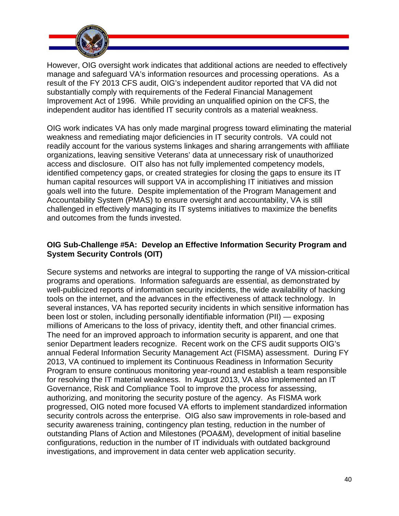

 independent auditor has identified IT security controls as a material weakness. However, OIG oversight work indicates that additional actions are needed to effectively manage and safeguard VA's information resources and processing operations. As a result of the FY 2013 CFS audit, OIG's independent auditor reported that VA did not substantially comply with requirements of the Federal Financial Management Improvement Act of 1996. While providing an unqualified opinion on the CFS, the

OIG work indicates VA has only made marginal progress toward eliminating the material weakness and remediating major deficiencies in IT security controls. VA could not readily account for the various systems linkages and sharing arrangements with affiliate organizations, leaving sensitive Veterans' data at unnecessary risk of unauthorized access and disclosure. OIT also has not fully implemented competency models, identified competency gaps, or created strategies for closing the gaps to ensure its IT human capital resources will support VA in accomplishing IT initiatives and mission goals well into the future. Despite implementation of the Program Management and Accountability System (PMAS) to ensure oversight and accountability, VA is still challenged in effectively managing its IT systems initiatives to maximize the benefits and outcomes from the funds invested.

## **OIG Sub-Challenge #5A: Develop an Effective Information Security Program and System Security Controls (OIT)**

Secure systems and networks are integral to supporting the range of VA mission-critical programs and operations. Information safeguards are essential, as demonstrated by well-publicized reports of information security incidents, the wide availability of hacking tools on the internet, and the advances in the effectiveness of attack technology. In several instances, VA has reported security incidents in which sensitive information has been lost or stolen, including personally identifiable information (PII) — exposing millions of Americans to the loss of privacy, identity theft, and other financial crimes. The need for an improved approach to information security is apparent, and one that senior Department leaders recognize. Recent work on the CFS audit supports OIG's annual Federal Information Security Management Act (FISMA) assessment. During FY 2013, VA continued to implement its Continuous Readiness in Information Security Program to ensure continuous monitoring year-round and establish a team responsible for resolving the IT material weakness. In August 2013, VA also implemented an IT Governance, Risk and Compliance Tool to improve the process for assessing, authorizing, and monitoring the security posture of the agency. As FISMA work progressed, OIG noted more focused VA efforts to implement standardized information security controls across the enterprise. OIG also saw improvements in role-based and security awareness training, contingency plan testing, reduction in the number of outstanding Plans of Action and Milestones (POA&M), development of initial baseline configurations, reduction in the number of IT individuals with outdated background investigations, and improvement in data center web application security.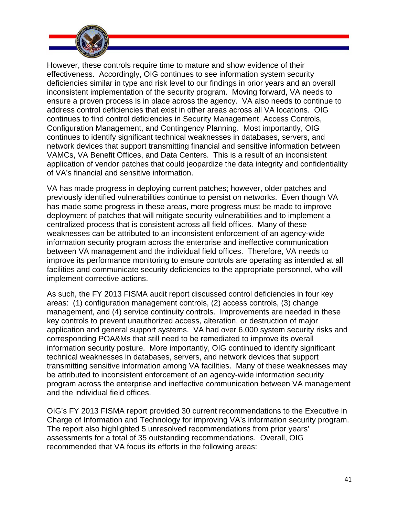

 Configuration Management, and Contingency Planning. Most importantly, OIG However, these controls require time to mature and show evidence of their effectiveness. Accordingly, OIG continues to see information system security deficiencies similar in type and risk level to our findings in prior years and an overall inconsistent implementation of the security program. Moving forward, VA needs to ensure a proven process is in place across the agency. VA also needs to continue to address control deficiencies that exist in other areas across all VA locations. OIG continues to find control deficiencies in Security Management, Access Controls, continues to identify significant technical weaknesses in databases, servers, and network devices that support transmitting financial and sensitive information between VAMCs, VA Benefit Offices, and Data Centers. This is a result of an inconsistent application of vendor patches that could jeopardize the data integrity and confidentiality of VA's financial and sensitive information.

VA has made progress in deploying current patches; however, older patches and previously identified vulnerabilities continue to persist on networks. Even though VA has made some progress in these areas, more progress must be made to improve deployment of patches that will mitigate security vulnerabilities and to implement a centralized process that is consistent across all field offices. Many of these weaknesses can be attributed to an inconsistent enforcement of an agency-wide information security program across the enterprise and ineffective communication between VA management and the individual field offices. Therefore, VA needs to improve its performance monitoring to ensure controls are operating as intended at all facilities and communicate security deficiencies to the appropriate personnel, who will implement corrective actions.

As such, the FY 2013 FISMA audit report discussed control deficiencies in four key areas: (1) configuration management controls, (2) access controls, (3) change management, and (4) service continuity controls. Improvements are needed in these key controls to prevent unauthorized access, alteration, or destruction of major application and general support systems. VA had over 6,000 system security risks and corresponding POA&Ms that still need to be remediated to improve its overall information security posture. More importantly, OIG continued to identify significant technical weaknesses in databases, servers, and network devices that support transmitting sensitive information among VA facilities. Many of these weaknesses may be attributed to inconsistent enforcement of an agency-wide information security program across the enterprise and ineffective communication between VA management and the individual field offices.

OIG's FY 2013 FISMA report provided 30 current recommendations to the Executive in Charge of Information and Technology for improving VA's information security program. The report also highlighted 5 unresolved recommendations from prior years' assessments for a total of 35 outstanding recommendations. Overall, OIG recommended that VA focus its efforts in the following areas: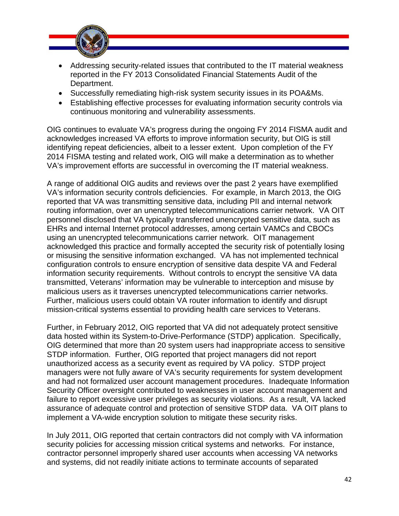

- Addressing security-related issues that contributed to the IT material weakness reported in the FY 2013 Consolidated Financial Statements Audit of the Department.
- Successfully remediating high-risk system security issues in its POA&Ms.
- Establishing effective processes for evaluating information security controls via continuous monitoring and vulnerability assessments.

OIG continues to evaluate VA's progress during the ongoing FY 2014 FISMA audit and acknowledges increased VA efforts to improve information security, but OIG is still identifying repeat deficiencies, albeit to a lesser extent. Upon completion of the FY 2014 FISMA testing and related work, OIG will make a determination as to whether VA's improvement efforts are successful in overcoming the IT material weakness.

A range of additional OIG audits and reviews over the past 2 years have exemplified VA's information security controls deficiencies. For example, in March 2013, the OIG reported that VA was transmitting sensitive data, including PII and internal network routing information, over an unencrypted telecommunications carrier network. VA OIT personnel disclosed that VA typically transferred unencrypted sensitive data, such as EHRs and internal Internet protocol addresses, among certain VAMCs and CBOCs using an unencrypted telecommunications carrier network. OIT management acknowledged this practice and formally accepted the security risk of potentially losing or misusing the sensitive information exchanged. VA has not implemented technical configuration controls to ensure encryption of sensitive data despite VA and Federal information security requirements. Without controls to encrypt the sensitive VA data transmitted, Veterans' information may be vulnerable to interception and misuse by malicious users as it traverses unencrypted telecommunications carrier networks. Further, malicious users could obtain VA router information to identify and disrupt mission-critical systems essential to providing health care services to Veterans.

Further, in February 2012, OIG reported that VA did not adequately protect sensitive data hosted within its System-to-Drive-Performance (STDP) application. Specifically, OIG determined that more than 20 system users had inappropriate access to sensitive STDP information. Further, OIG reported that project managers did not report unauthorized access as a security event as required by VA policy. STDP project managers were not fully aware of VA's security requirements for system development and had not formalized user account management procedures. Inadequate Information Security Officer oversight contributed to weaknesses in user account management and failure to report excessive user privileges as security violations. As a result, VA lacked assurance of adequate control and protection of sensitive STDP data. VA OIT plans to implement a VA-wide encryption solution to mitigate these security risks.

In July 2011, OIG reported that certain contractors did not comply with VA information security policies for accessing mission critical systems and networks. For instance, contractor personnel improperly shared user accounts when accessing VA networks and systems, did not readily initiate actions to terminate accounts of separated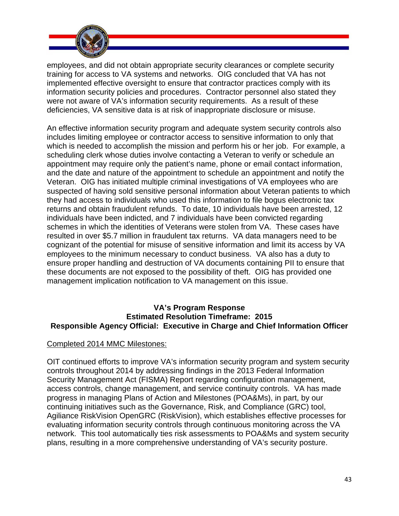

employees, and did not obtain appropriate security clearances or complete security training for access to VA systems and networks. OIG concluded that VA has not implemented effective oversight to ensure that contractor practices comply with its information security policies and procedures. Contractor personnel also stated they were not aware of VA's information security requirements. As a result of these deficiencies, VA sensitive data is at risk of inappropriate disclosure or misuse.

An effective information security program and adequate system security controls also includes limiting employee or contractor access to sensitive information to only that which is needed to accomplish the mission and perform his or her job. For example, a scheduling clerk whose duties involve contacting a Veteran to verify or schedule an appointment may require only the patient's name, phone or email contact information, and the date and nature of the appointment to schedule an appointment and notify the Veteran. OIG has initiated multiple criminal investigations of VA employees who are suspected of having sold sensitive personal information about Veteran patients to which they had access to individuals who used this information to file bogus electronic tax returns and obtain fraudulent refunds. To date, 10 individuals have been arrested, 12 individuals have been indicted, and 7 individuals have been convicted regarding schemes in which the identities of Veterans were stolen from VA. These cases have resulted in over \$5.7 million in fraudulent tax returns. VA data managers need to be cognizant of the potential for misuse of sensitive information and limit its access by VA employees to the minimum necessary to conduct business. VA also has a duty to ensure proper handling and destruction of VA documents containing PII to ensure that these documents are not exposed to the possibility of theft. OIG has provided one management implication notification to VA management on this issue.

#### **VA's Program Response Estimated Resolution Timeframe: 2015 Responsible Agency Official: Executive in Charge and Chief Information Officer**

#### Completed 2014 MMC Milestones:

OIT continued efforts to improve VA's information security program and system security controls throughout 2014 by addressing findings in the 2013 Federal Information Security Management Act (FISMA) Report regarding configuration management, access controls, change management, and service continuity controls. VA has made progress in managing Plans of Action and Milestones (POA&Ms), in part, by our continuing initiatives such as the Governance, Risk, and Compliance (GRC) tool, Agiliance RiskVision OpenGRC (RiskVision), which establishes effective processes for evaluating information security controls through continuous monitoring across the VA network. This tool automatically ties risk assessments to POA&Ms and system security plans, resulting in a more comprehensive understanding of VA's security posture.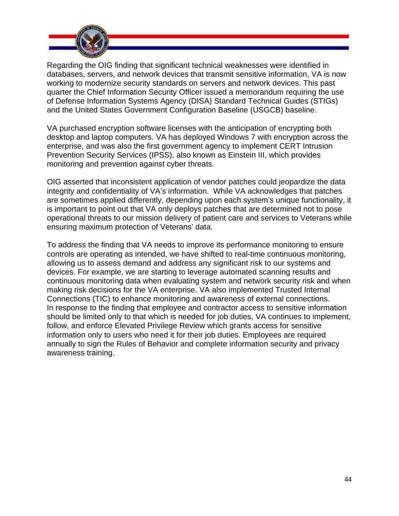

Regarding the OIG finding that significant technical weaknesses were identified in databases, servers, and network devices that transmit sensitive information, VA is now working to modernize security standards on servers and network devices. This past quarter the Chief Information Security Officer issued a memorandum requiring the use of Defense Information Systems Agency (DISA) Standard Technical Guides (STIGs) and the United States Government Configuration Baseline (USGCB) baseline.

VA purchased encryption software licenses with the anticipation of encrypting both desktop and laptop computers. VA has deployed Windows 7 with encryption across the enterprise, and was also the first government agency to implement CERT Intrusion Prevention Security Services (IPSS), also known as Einstein III, which provides monitoring and prevention against cyber threats.

OIG asserted that inconsistent application of vendor patches could jeopardize the data integrity and confidentiality of VA's information. While VA acknowledges that patches are sometimes applied differently, depending upon each system's unique functionality, it is important to point out that VA only deploys patches that are determined not to pose operational threats to our mission delivery of patient care and services to Veterans while ensuring maximum protection of Veterans' data.

To address the finding that VA needs to improve its performance monitoring to ensure controls are operating as intended, we have shifted to real-time continuous monitoring, allowing us to assess demand and address any significant risk to our systems and devices. For example, we are starting to leverage automated scanning results and continuous monitoring data when evaluating system and network security risk and when making risk decisions for the VA enterprise. VA also implemented Trusted Internal Connections (TIC) to enhance monitoring and awareness of external connections. In response to the finding that employee and contractor access to sensitive information should be limited only to that which is needed for job duties, VA continues to implement, follow, and enforce Elevated Privilege Review which grants access for sensitive information only to users who need it for their job duties. Employees are required annually to sign the Rules of Behavior and complete information security and privacy awareness training.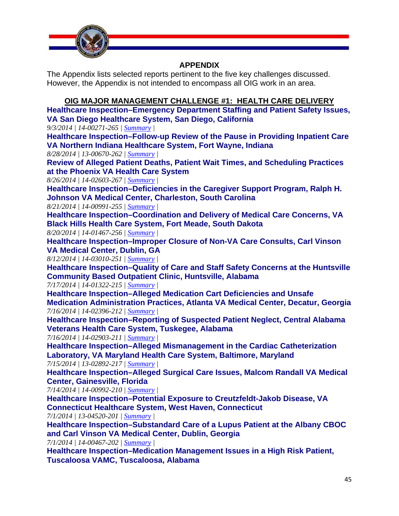

## **APPENDIX**

The Appendix lists selected reports pertinent to the five key challenges discussed. However, the Appendix is not intended to encompass all OIG work in an area.

## **OIG MAJOR MANAGEMENT CHALLENGE #1: HEALTH CARE DELIVERY**

**Healthcare Inspection–Emergency Department Staffing and Patient Safety Issues, VA San Diego Healthcare System, San Diego, California** 

*9/3/2014 | 14-00271-265 | [Summary](http://www.va.gov/oig/publications/report-summary.asp?id=3203) |* 

**Healthcare Inspection–Follow-up Review of the Pause in Providing Inpatient Care VA Northern Indiana Healthcare System, Fort Wayne, Indiana** 

*8/28/2014 | 13-00670-262 | [Summary](http://www.va.gov/oig/publications/report-summary.asp?id=3201) |* 

**Review of Alleged Patient Deaths, Patient Wait Times, and Scheduling Practices at the Phoenix VA Health Care System**

*8/26/2014 | 14-02603-267 | [Summary |](http://www.va.gov/oig/publications/report-summary.asp?id=3200)* 

**Healthcare Inspection–Deficiencies in the Caregiver Support Program, Ralph H. Johnson VA Medical Center, Charleston, South Carolina** 

*8/21/2014 | 14-00991-255 | [Summary](http://www.va.gov/oig/publications/report-summary.asp?id=3197) |* 

**Healthcare Inspection–Coordination and Delivery of Medical Care Concerns, VA Black Hills Health Care System, Fort Meade, South Dakota** 

*8/20/2014 | 14-01467-256 | [Summary](http://www.va.gov/oig/publications/report-summary.asp?id=3196) |* 

**Healthcare Inspection–Improper Closure of Non-VA Care Consults, Carl Vinson VA Medical Center, Dublin, GA** 

*8/12/2014 | 14-03010-251 | [Summary](http://www.va.gov/oig/publications/report-summary.asp?id=3190) |* 

**Healthcare Inspection–Quality of Care and Staff Safety Concerns at the Huntsville Community Based Outpatient Clinic, Huntsville, Alabama** 

*7/17/2014 | 14-01322-215 | [Summary](http://www.va.gov/oig/publications/report-summary.asp?id=3164) |* 

**Healthcare Inspection–Alleged Medication Cart Deficiencies and Unsafe Medication Administration Practices, Atlanta VA Medical Center, Decatur, Georgia**  *7/16/2014 | 14-02396-212 | [Summary](http://www.va.gov/oig/publications/report-summary.asp?id=3160) |* 

**Healthcare Inspection–Reporting of Suspected Patient Neglect, Central Alabama Veterans Health Care System, Tuskegee, Alabama** 

*7/16/2014 | 14-02903-211 | [Summary](http://www.va.gov/oig/publications/report-summary.asp?id=3159) |* 

**Healthcare Inspection–Alleged Mismanagement in the Cardiac Catheterization Laboratory, VA Maryland Health Care System, Baltimore, Maryland** 

*7/15/2014 | 13-02892-217 | [Summary](http://www.va.gov/oig/publications/report-summary.asp?id=3165) |* 

**Healthcare Inspection–Alleged Surgical Care Issues, Malcom Randall VA Medical Center, Gainesville, Florida** 

*7/14/2014 | 14-00992-210 | [Summary](http://www.va.gov/oig/publications/report-summary.asp?id=3158) |* 

**Healthcare Inspection–Potential Exposure to Creutzfeldt-Jakob Disease, VA Connecticut Healthcare System, West Haven, Connecticut** 

*7/1/2014 | 13-04520-201 | [Summary |](http://www.va.gov/oig/publications/report-summary.asp?id=3152)* 

**Healthcare Inspection–Substandard Care of a Lupus Patient at the Albany CBOC and Carl Vinson VA Medical Center, Dublin, Georgia**

*7/1/2014 | 14-00467-202 | [Summary](http://www.va.gov/oig/publications/report-summary.asp?id=3151) |* 

**Healthcare Inspection–Medication Management Issues in a High Risk Patient, Tuscaloosa VAMC, Tuscaloosa, Alabama**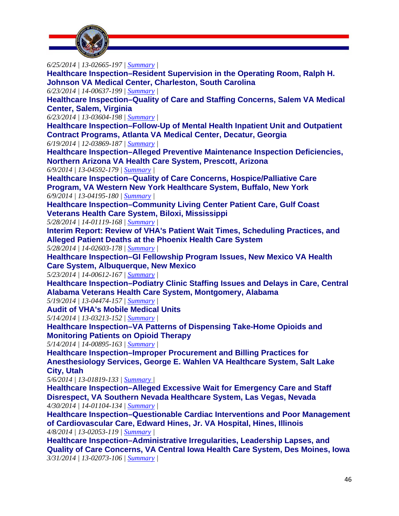

*6/25/2014 | 13-02665-197 | [Summary](http://www.va.gov/oig/publications/report-summary.asp?id=3150) |*  **Healthcare Inspection–Resident Supervision in the Operating Room, Ralph H. Johnson VA Medical Center, Charleston, South Carolina**  *6/23/2014 | 14-00637-199 | [Summary](http://www.va.gov/oig/publications/report-summary.asp?id=3127) |*  **Healthcare Inspection–Quality of Care and Staffing Concerns, Salem VA Medical Center, Salem, Virginia**  *6/23/2014 | 13-03604-198 | [Summary](http://www.va.gov/oig/publications/report-summary.asp?id=3126) |*  **Healthcare Inspection–Follow-Up of Mental Health Inpatient Unit and Outpatient Contract Programs, Atlanta VA Medical Center, Decatur, Georgia**  *6/19/2014 | 12-03869-187 | [Summary](http://www.va.gov/oig/publications/report-summary.asp?id=3125) |*  **Healthcare Inspection–Alleged Preventive Maintenance Inspection Deficiencies, Northern Arizona VA Health Care System, Prescott, Arizona**  *6/9/2014 | 13-04592-179 | [Summary](http://www.va.gov/oig/publications/report-summary.asp?id=3118) |*  **Healthcare Inspection–Quality of Care Concerns, Hospice/Palliative Care Program, VA Western New York Healthcare System, Buffalo, New York**  *6/9/2014 | 13-04195-180 | [Summary](http://www.va.gov/oig/publications/report-summary.asp?id=3121) |*  **Healthcare Inspection–Community Living Center Patient Care, Gulf Coast Veterans Health Care System, Biloxi, Mississippi**  *5/28/2014 | 14-01119-168 | [Summary](http://www.va.gov/oig/publications/report-summary.asp?id=3108) |*  **Interim Report: Review of VHA's Patient Wait Times, Scheduling Practices, and Alleged Patient Deaths at the Phoenix Health Care System**  *5/28/2014 | 14-02603-178 | [Summary](http://www.va.gov/oig/publications/report-summary.asp?id=3115) |*  **Healthcare Inspection–GI Fellowship Program Issues, New Mexico VA Health Care System, Albuquerque, New Mexico**  *5/23/2014 | 14-00612-167 | [Summary](http://www.va.gov/oig/publications/report-summary.asp?id=3105) |*  **Healthcare Inspection–Podiatry Clinic Staffing Issues and Delays in Care, Central Alabama Veterans Health Care System, Montgomery, Alabama**  *5/19/2014 | 13-04474-157 | [Summary](http://www.va.gov/oig/publications/report-summary.asp?id=3101) |*  **Audit of VHA's Mobile Medical Units**  *5/14/2014 | 13-03213-152 | [Summary](http://www.va.gov/oig/publications/report-summary.asp?id=3094) |*  **Healthcare Inspection–VA Patterns of Dispensing Take-Home Opioids and Monitoring Patients on Opioid Therapy** *5/14/2014 | 14-00895-163 | [Summary](http://www.va.gov/oig/publications/report-summary.asp?id=3100) |*  **Healthcare Inspection–Improper Procurement and Billing Practices for Anesthesiology Services, George E. Wahlen VA Healthcare System, Salt Lake City, Utah**  *5/6/2014 | 13-01819-133 | [Summary](http://www.va.gov/oig/publications/report-summary.asp?id=3090) |*  **Healthcare Inspection–Alleged Excessive Wait for Emergency Care and Staff** 

**Disrespect, VA Southern Nevada Healthcare System, Las Vegas, Nevada**  *4/30/2014 | 14-01104-134 | [Summary](http://www.va.gov/oig/publications/report-summary.asp?id=3085) |* 

 **of Cardiovascular Care, Edward Hines, Jr. VA Hospital, Hines, Illinois Healthcare Inspection–Questionable Cardiac Interventions and Poor Management**  *4/8/2014 | 13-02053-119 | [Summary](http://www.va.gov/oig/publications/report-summary.asp?id=3073) |* 

**Healthcare Inspection–Administrative Irregularities, Leadership Lapses, and Quality of Care Concerns, VA Central Iowa Health Care System, Des Moines, Iowa** *3/31/2014 | 13-02073-106 | [Summary |](http://www.va.gov/oig/publications/report-summary.asp?id=3067)*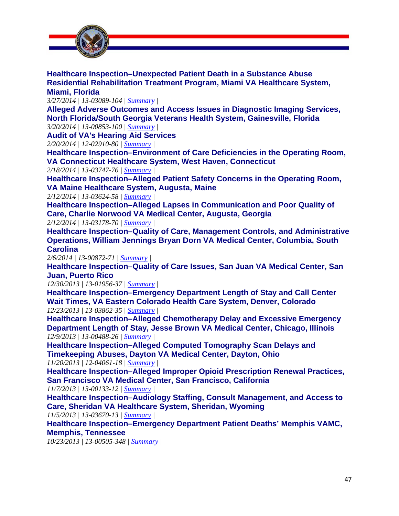

**Healthcare Inspection–Unexpected Patient Death in a Substance Abuse Residential Rehabilitation Treatment Program, Miami VA Healthcare System, Miami, Florida** 

*3/27/2014 | 13-03089-104 | [Summary](http://www.va.gov/oig/publications/report-summary.asp?id=3065) |* 

**Alleged Adverse Outcomes and Access Issues in Diagnostic Imaging Services, North Florida/South Georgia Veterans Health System, Gainesville, Florida**

*3/20/2014 | 13-00853-100 | [Summary](http://www.va.gov/oig/publications/report-summary.asp?id=3063) |* 

**Audit of VA's Hearing Aid Services**

*2/20/2014 | 12-02910-80 | [Summary](http://www.va.gov/oig/publications/report-summary.asp?id=3046) |* 

**Healthcare Inspection–Environment of Care Deficiencies in the Operating Room, VA Connecticut Healthcare System, West Haven, Connecticut**

*2/18/2014 | 13-03747-76 | [Summary](http://www.va.gov/oig/publications/report-summary.asp?id=3044) |* 

**Healthcare Inspection–Alleged Patient Safety Concerns in the Operating Room, VA Maine Healthcare System, Augusta, Maine**

*2/12/2014 | 13-03624-58 | [Summary](http://www.va.gov/oig/publications/report-summary.asp?id=3040) |* 

**Healthcare Inspection–Alleged Lapses in Communication and Poor Quality of Care, Charlie Norwood VA Medical Center, Augusta, Georgia**

*2/12/2014 | 13-03178-70 | [Summary](http://www.va.gov/oig/publications/report-summary.asp?id=3039) |* 

**Healthcare Inspection–Quality of Care, Management Controls, and Administrative Operations, William Jennings Bryan Dorn VA Medical Center, Columbia, South Carolina** 

*2/6/2014 | 13-00872-71 | [Summary](http://www.va.gov/oig/publications/report-summary.asp?id=3035) |* 

**Healthcare Inspection–Quality of Care Issues, San Juan VA Medical Center, San Juan, Puerto Rico** 

*12/30/2013 | 13-01956-37 | [Summary](http://www.va.gov/oig/publications/report-summary.asp?id=3017) |* 

**Healthcare Inspection–Emergency Department Length of Stay and Call Center Wait Times, VA Eastern Colorado Health Care System, Denver, Colorado** *12/23/2013 | 13-03862-35 | [Summary](http://www.va.gov/oig/publications/report-summary.asp?id=3015) |* 

**Healthcare Inspection–Alleged Chemotherapy Delay and Excessive Emergency Department Length of Stay, Jesse Brown VA Medical Center, Chicago, Illinois**  *12/9/2013 | 13-00488-26 | [Summary](http://www.va.gov/oig/publications/report-summary.asp?id=3013) |* 

**Healthcare Inspection–Alleged Computed Tomography Scan Delays and Timekeeping Abuses, Dayton VA Medical Center, Dayton, Ohio** 

*11/20/2013 | 12-04061-18 | [Summary](http://www.va.gov/oig/publications/report-summary.asp?id=3009) |* 

**Healthcare Inspection–Alleged Improper Opioid Prescription Renewal Practices, San Francisco VA Medical Center, San Francisco, California** 

*11/7/2013 | 13-00133-12 | [Summary](http://www.va.gov/oig/publications/report-summary.asp?id=3005) |* 

**Healthcare Inspection–Audiology Staffing, Consult Management, and Access to Care, Sheridan VA Healthcare System, Sheridan, Wyoming**

*11/5/2013 | 13-03670-13 | [Summary](http://www.va.gov/oig/publications/report-summary.asp?id=3004) |* 

**Healthcare Inspection–Emergency Department Patient Deaths' Memphis VAMC, Memphis, Tennessee**

*10/23/2013 | 13-00505-348 | [Summary |](http://www.va.gov/oig/publications/report-summary.asp?id=3000)*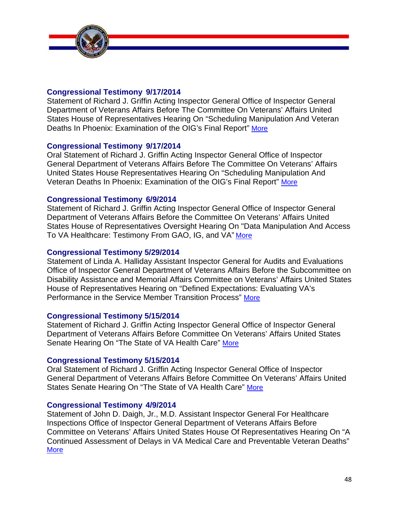

## **[Congressional Testimony 9/17/2014](http://www.va.gov/OIG/pubs/statements/VAOIG-statement-20140917-oralgriffin.pdf)**

Statement of Richard J. Griffin Acting Inspector General Office of Inspector General Department of Veterans Affairs Before The Committee On Veterans' Affairs United States House of Representatives Hearing On "Scheduling Manipulation And Veteran Deaths In Phoenix: Examination of the OIG's Final Report" More

## **[Congressional Testimony 9/17/2014](http://www.va.gov/OIG/pubs/statements/VAOIG-statement-20140917-griffin.pdf)**

Oral Statement of Richard J. Griffin Acting Inspector General Office of Inspector General Department of Veterans Affairs Before The Committee On Veterans' Affairs United States House Representatives Hearing On "Scheduling Manipulation And Veteran Deaths In Phoenix: Examination of the OIG's Final Report" More

## **[Congressional Testimony 6/9/2014](http://www.va.gov/OIG/pubs/statements/VAOIG-statement-20140609-griffin.pdf)**

Statement of Richard J. Griffin Acting Inspector General Office of Inspector General Department of Veterans Affairs Before the Committee On Veterans' Affairs United States House of Representatives Oversight Hearing On "Data Manipulation And Access To VA Healthcare: Testimony From GAO, IG, and VA" More

#### **[Congressional Testimony 5/29/2014](http://www.va.gov/OIG/pubs/statements/VAOIG-statement-20140529-halliday.pdf)**

Statement of Linda A. Halliday Assistant Inspector General for Audits and Evaluations Office of Inspector General Department of Veterans Affairs Before the Subcommittee on Disability Assistance and Memorial Affairs Committee on Veterans' Affairs United States House of Representatives Hearing on "Defined Expectations: Evaluating VA's Performance in the Service Member Transition Process" More

#### **[Congressional Testimony 5/15/2014](http://www.va.gov/oig/pubs/statements/VAOIG-statement-20140515-griffin.pdf)**

Statement of Richard J. Griffin Acting Inspector General Office of Inspector General Department of Veterans Affairs Before Committee On Veterans' Affairs United States Senate Hearing On "The State of VA Health Care" More

#### **[Congressional Testimony 5/15/2014](http://www.va.gov/oig/pubs/statements/VAOIG-statement-ActingVAOIGOralStatementSVACHearingMay152014.pdf)**

Oral Statement of Richard J. Griffin Acting Inspector General Office of Inspector General Department of Veterans Affairs Before Committee On Veterans' Affairs United States Senate Hearing On "The State of VA Health Care" More

#### **[Congressional Testimony 4/9/2014](http://www.va.gov/oig/pubs/statements/VAOIG-statement-20140409-daigh.pdf)**

Statement of John D. Daigh, Jr., M.D. Assistant Inspector General For Healthcare Inspections Office of Inspector General Department of Veterans Affairs Before Committee on Veterans' Affairs United States House Of Representatives Hearing On "A Continued Assessment of Delays in VA Medical Care and Preventable Veteran Deaths" **More**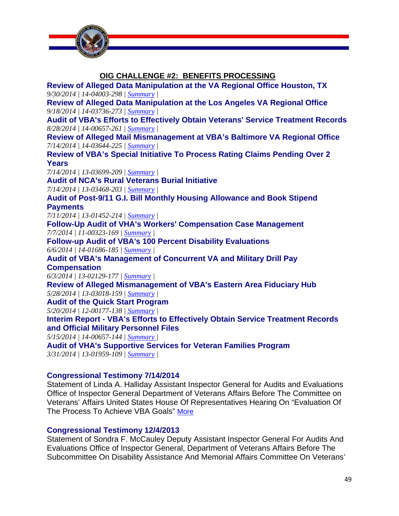

**OIG CHALLENGE #2: BENEFITS PROCESSING Review of Alleged Data Manipulation at the VA Regional Office Houston, TX**  *9/30/2014 | 14-04003-298 | [Summary](http://www.va.gov/oig/publications/report-summary.asp?id=3216) |*  **Review of Alleged Data Manipulation at the Los Angeles VA Regional Office**  *9/18/2014 | 14-03736-273 | [Summary](http://www.va.gov/oig/publications/report-summary.asp?id=3209) |*  **Audit of VBA's Efforts to Effectively Obtain Veterans' Service Treatment Records**  *8/28/2014 | 14-00657-261 | [Summary](http://www.va.gov/oig/publications/report-summary.asp?id=3198) |*  **Review of Alleged Mail Mismanagement at VBA's Baltimore VA Regional Office**  *7/14/2014 | 14-03644-225 | [Summary](http://www.va.gov/oig/publications/report-summary.asp?id=3167) |*  **Review of VBA's Special Initiative To Process Rating Claims Pending Over 2 Years**  *7/14/2014 | 13-03699-209 | [Summary](http://www.va.gov/oig/publications/report-summary.asp?id=3166) |*  **Audit of NCA's Rural Veterans Burial Initiative**  *7/14/2014 | 13-03468-203 | [Summary](http://www.va.gov/oig/publications/report-summary.asp?id=3162) |*  **Audit of Post-9/11 G.I. Bill Monthly Housing Allowance and Book Stipend Payments** *7/11/2014 | 13-01452-214 | [Summary](http://www.va.gov/oig/publications/report-summary.asp?id=3163) |*  **Follow-Up Audit of VHA's Workers' Compensation Case Management**  *7/7/2014 | 11-00323-169 | [Summary |](http://www.va.gov/oig/publications/report-summary.asp?id=3153)*  **Follow-up Audit of VBA's 100 Percent Disability Evaluations**  *6/6/2014 | 14-01686-185 | [Summary](http://www.va.gov/oig/publications/report-summary.asp?id=3123) |*  **Audit of VBA's Management of Concurrent VA and Military Drill Pay Compensation** *6/3/2014 | 13-02129-177 [| Summary |](http://www.va.gov/oig/publications/report-summary.asp?id=3117)*  **Review of Alleged Mismanagement of VBA's Eastern Area Fiduciary Hub**  *5/28/2014 | 13-03018-159 | [Summary](http://www.va.gov/oig/publications/report-summary.asp?id=3110) |*  **Audit of the Quick Start Program** *5/20/2014 | 12-00177-138 | [Summary |](http://www.va.gov/oig/publications/report-summary.asp?id=3109)*  **Interim Report - VBA's Efforts to Effectively Obtain Service Treatment Records and Official Military Personnel Files**  *5/15/2014 | 14-00657-144 | [Summary](http://www.va.gov/oig/publications/report-summary.asp?id=3097) |*  **Audit of VHA's Supportive Services for Veteran Families Program**  *3/31/2014 | 13-01959-109 | [Summary](http://www.va.gov/oig/publications/report-summary.asp?id=3070) |* 

#### **[Congressional Testimony 7/14/2014](http://www.va.gov/OIG/pubs/statements/VAOIG-statement-20140714-halliday.pdf)**

Statement of Linda A. Halliday Assistant Inspector General for Audits and Evaluations Office of Inspector General Department of Veterans Affairs Before The Committee on Veterans' Affairs United States House Of Representatives Hearing On "Evaluation Of The Process To Achieve VBA Goals" More

#### **[Congressional Testimony 12/4/2013](http://www.va.gov/oig/pubs/statements/VAOIG-statement-20131204-mccauley.pdf)**

Statement of Sondra F. McCauley Deputy Assistant Inspector General For Audits And Evaluations Office of Inspector General, Department of Veterans Affairs Before The Subcommittee On Disability Assistance And Memorial Affairs Committee On Veterans'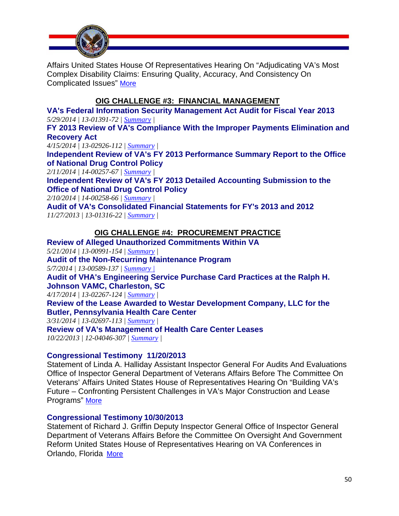

Affairs United States House Of Representatives Hearing On "Adjudicating VA's Most Complex Disability Claims: Ensuring Quality, Accuracy, And Consistency On Complicated Issues" More

## **OIG CHALLENGE #3: FINANCIAL MANAGEMENT**

**VA's Federal Information Security Management Act Audit for Fiscal Year 2013**  *5/29/2014 | 13-01391-72 | [Summary](http://www.va.gov/oig/publications/report-summary.asp?id=3116) |* 

**FY 2013 Review of VA's Compliance With the Improper Payments Elimination and Recovery Act** 

*4/15/2014 | 13-02926-112 | [Summary](http://www.va.gov/oig/publications/report-summary.asp?id=3078) |* 

**Independent Review of VA's FY 2013 Performance Summary Report to the Office of National Drug Control Policy**

*2/11/2014 | 14-00257-67 | [Summary](http://www.va.gov/oig/publications/report-summary.asp?id=3037) |* 

**Independent Review of VA's FY 2013 Detailed Accounting Submission to the Office of National Drug Control Policy**

*2/10/2014 | 14-00258-66 | [Summary](http://www.va.gov/oig/publications/report-summary.asp?id=3036) |* 

**Audit of VA's Consolidated Financial Statements for FY's 2013 and 2012**  *11/27/2013 | 13-01316-22 | [Summary |](http://www.va.gov/oig/publications/report-summary.asp?id=3031)* 

## **OIG CHALLENGE #4: PROCUREMENT PRACTICE**

**Review of Alleged Unauthorized Commitments Within VA**  *5/21/2014 | 13-00991-154 | [Summary](http://www.va.gov/oig/publications/report-summary.asp?id=3107) |*  **Audit of the Non-Recurring Maintenance Program** *5/7/2014 | 13-00589-137 | [Summary](http://www.va.gov/oig/publications/report-summary.asp?id=3091) |*  **Audit of VHA's Engineering Service Purchase Card Practices at the Ralph H. Johnson VAMC, Charleston, SC**  *4/17/2014 | 13-02267-124 | [Summary](http://www.va.gov/oig/publications/report-summary.asp?id=3080) |*  **Review of the Lease Awarded to Westar Development Company, LLC for the Butler, Pennsylvania Health Care Center** *3/31/2014 | 13-02697-113 | [Summary](http://www.va.gov/oig/publications/report-summary.asp?id=3069) |*  **Review of VA's Management of Health Care Center Leases**

*10/22/2013 | 12-04046-307 | [Summary](http://www.va.gov/oig/publications/report-summary.asp?id=2999) |* 

#### **[Congressional Testimony 11/20/2013](http://www.va.gov/oig/pubs/statements/VAOIG-statement-20131120-halliday.pdf)**

Statement of Linda A. Halliday Assistant Inspector General For Audits And Evaluations Office of Inspector General Department of Veterans Affairs Before The Committee On Veterans' Affairs United States House of Representatives Hearing On "Building VA's Future – Confronting Persistent Challenges in VA's Major Construction and Lease Programs" More

#### **[Congressional Testimony 10/30/2013](http://www.va.gov/oig/pubs/statements/VAOIG-statement-20131030-Griffin.pdf)**

Statement of Richard J. Griffin Deputy Inspector General Office of Inspector General Department of Veterans Affairs Before the Committee On Oversight And Government Reform United States House of Representatives Hearing on VA Conferences in Orlando, Florida More